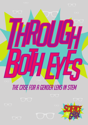

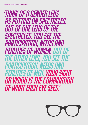'Think of a gender lens as putting on spectacles. Out of one lens of the spectacles, you see the participation, needs and realities of women. Out of the other lens, you see the participation, needs and realities of men.Your sight or vision is the combination of what each eye sees.'

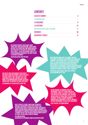# **CONTENTS**

| <b>EXECUTIVE SUMMARY</b>            |  |
|-------------------------------------|--|
| <b>1.0 INTRODUCTION</b>             |  |
| <b>2.0 CHALLENGES</b>               |  |
| <b>3.0 SOLUTIONS</b>                |  |
| SIR PETER LUFF MP: A CALL TO ACTION |  |
| <b>REFERENCES</b>                   |  |
| <b>AUTHORSHIP &amp; CREDITS</b>     |  |

'The country urgently needs more young people with STEM qualifications, which means we have to get more girls and women involved. This should be at the heart of education and skills policy – it isn't an optional extra left to a few passionate enthusiasts. We have to make it everyone's business'

Helen Wollaston, Director WISE

'The lack of girls and women in STEM blights our society and our economy. There is no single solution, which is why I am glad to see that Sciencegrrl have come forward with a wide range of recommendations covering education, careers and the broader cultural challenges'

Chi Onwurah, MP for Newcastle upon Tyne

'Our research shows that it is harder for girls to balance, or reconcile, their interest in science with femininity. The solution won't lie in trying to change girls. The causes are rooted in, and perpetuated by, wider societal attitudes and social structures. We also need to think about the whole structure of our education system in England, which essentially channels children into narrow 'tracks' from a young age' Professor Louise Archer, Director of ASPIRES, lead coordinatior of TISME

'We are working to maximise employer engagement to help put science and maths in a careers context. We want to show what STEM can offer, and empower a new, far more diverse group of young people to reach their potential. I'm really looking forward to working with ScienceGrrl to look at synergies between programmes to build scale and impact'

Paul Jackson, CEOEngineeringUK 'Girls' uptake of science, maths and technology increases significantly when these subjects are presented and taught by women who care passionately about STEM and when curriculum content promotes the achievements of women in STEM research and development. I strongly believe that we need action on gender equality in school culture and in teacher training' Dr Vanessa Ogden, Headteacher & cofounder Gender Education Alliance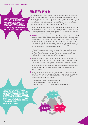#### THROUGH BOTH eyes: The case for a gender lens in STEM

'We want to see girls clamoring to get involved in engineering and science careers. We would be delighted to partner with ScienceGrrl and other initiatives to help achieve this vision'

Dr Penny Fiddler, CEO The UK Association for Science and Discovery Centres

# Executive Summary

1. It is old news that women are still vastly underrepresented in leadership positions in science, technology, engineering and mathematics (STEM) – and that in areas like physics and engineering, girls and young women aren't even getting a foot in the door. The percentage of female A-level physics students has hovered around 20% for the past 20 years or more, and the UK has the lowest proportion of female engineers in the EU.

- **2.** There is broad recognition that girls and women represent untapped talent, and that enabling them to realise their potential is as much about growing the UK economy as it is about social justice. Why then, despite widespread concern, is progress frustratingly slow?
- 3. SCIENCEGRRL has looked to the literature and spoken to stakeholders in the STEM sector to explore this question with respect to access to STEM; we plan to examine career progression at a later stage. We find that girls and young women are being kept out by the cultural straightjackets imposed upon them by society. In this report, we use a 'gender lens' to reveal how cultural messages translate into invisible hurdles that are holding girls back and limiting their personal, and earning, potential:

*'Think of the gender lens as putting on spectacles. Out of one lens you see the participation, needs and realities of women. Out of the other you see the participation, needs and realities of men. Your sight or vision is the combination of what both eye sees.' – UNESCO (2006)*

- 4. Our society isn't neutral, it is highly gendered. The reason these hurdles are invisible is that they are so deeply embedded. We must look through both eyes to detect the unconscious biases that permeate our society, homes, classrooms and workplaces before we can start to dismantle them. Empowering individuals with real choice and freeing ourselves from social stereotyping and cultural expectations is better for girls and women, but also for boys and men.
- 5. So, how do we begin to address this? When it comes to choosing STEM at school, university or as a career, the literature is clear that there are three key factors. We have framed them as a mental checklist that applies to all students, regardless of gender:

i. Relevance of STEM = Is it for people like me? ii. Perceived ability = Do I feel confident? iii. Science capital = Can I see the pathways and possibilities?

'STEMNET continually seeks to learn and improve its established services, and works with partners to inspire young people. The enthusiastic team at ScienceGrrl bring a new perspective, and we look forward to reviewing the findings of their report and considering how we can all further increase and improve STEM engagement in the UK' Kirsten Bodley, CEOSTEMNET



4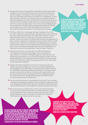- **6.** Young women receive messages about themselves and the opportunities available to them from wider society, family and friends, the classroom and the workplace. The balance of these messages is crucial. The 'girls' toys' that value physical perfection over adventure or intelligence, and the objectification of women in the media are just two examples of how the roles and capabilities of women are diminished in wider society. We are all exposed to these messages. Casual reliance on such stereotypes leads to unconscious bias in all areas of girls' lives. If this is left unchallenged, girls and young women find their cultural straightjackets tightened and they are less likely to say 'YES' to STEM. Stereotypes and unconscious bias undermine real choice. We must start to take them seriously.
- 7. STEM also suffers from a stereotype that says it belongs to those who are 'white, middle class, male and brainy'. We argue that we must challenge these two competing stereotypes, not conflate them. We don't need to make STEM about lipstick, or make girls and women feel they have to conform. Instead, the solution is to make STEM inclusive by showing that it is about creativity, imagination, changing the world, and that it offers a wealth of opportunity – that there are many ways into STEM, and even more ways to go forwards. Gender is only one aspect of the STEM stereotype, and so an active focus on busting the stereotype open has positive implications for widening the talent pool by appealing to a diverse range of identities.
- **8.** Initiatives that seek to 'encourage' girls into STEM are misplaced. The implication is that girls must change. Instead, we believe the responsibility for closing the STEM gender gap should be placed on the people who have influence in our society and education system. Girls are treated differently in the classroom and careers advice is far from actively inclusive. This separation of girls and young women from the mainstream is the fundamental roadblock.
- **9.** Progress will require integration on two levels. Firstly, the needs and realities of girls and young women must be consistently embedded into all messaging from the STEM sector. Secondly, we need cohesion between the stakeholders attempting to address this problem. In writing this report we have encountered a cacophony of initiatives and organisations, who are often trying to achieve everything alone without taking advantage of tremendous potential for synergy. We are calling on the STEM sector to re-evaluate opportunities for collaboration.
- **10.** We call on the Government to show leadership in this field. There is a wealth of academic knowledge about gender science and gender equality; this needs to be integrated into public policy. We want Government, and the public and the private STEM sectors to work together to empower individual free choice.
- 11. We see this report as an opportunity to start a conversation between the Government, academics, educators, the STEM community, retailers and the media about how we start to look through both eyes in order to embed gender equality and broader inclusion issues into better STEM education and careers advice for everyone.

'The work ScienceGrrl has done to highlight gender imbalance in STEM has been invaluable. Now, however, the time has come to stop identifying the problem and start developing the solutions. I am therefore delighted that 'Through Both Eyes' does exactly that, this is a document that has the potential to really deliver the change we need and want, because until we do, we are only seeing half the picture!'

Stephen Metcalfe, MP for South Basildon and East Thurrock

'ScienceGrrl have come up with a really important set of findings. I hope that we can build relationships with our partners to make the recommendations a reality. We'll have succeeded when science becomes as diverse as the rest of our society'

Imran Khan, CEO British Science Association

'We are losing highly talented young women because we are failing to engage them in education. ScienceGrrl do a great job, acting as role models, raising important questions and suggesting answers. I fully support this initiative to find a way to help young women reach their full potential in these fields' Julian Huppert, MP for Cambridge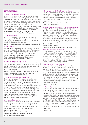## Recommendations

#### 1. Leadership on gender equality

Cultural straightjackets are reinforced by stereotypes and social structures. This has long been debated and challenged in the academic literature. We want Government to explicitly support the translation of such literature into public policy – from teacher training, to a 'duty of care' in marketing and retail, to workplace structures.

Owner: Number 10 Policy Unit, Government Equalities Office Partners: Department of Business, Innovation and Skills (BIS), British Retail Consortium, Scientific Institutions, Academics, teaching specialists, RCUK, Grassroots campaigns and charities, Equality Challenge Unit

#### 2. Rebranding STEM

We would like to see a campaign that is focused on breaking down the STEM stereotype. We believe that current plans for a National campaign to attract women into STEM should use this approach.

Owner: No 10 Policy Unit, BIS, Department for Education (DfE).

#### 3. Role models

We recommend creative partnerships that aim to raise girls' confidence and their families' and teachers' expectations through showcasing non-stereotypical careers, female role models and non-traditional male role models.

Owner: Government Equalities Office, BIS, STEMNET Partner: ScienceGrrl, Girlguiding, UK Association of Science and Discovery Centres, WISE, WES

#### 4. STEM mentoring and sponsorship

We believe effort must go into increasing and consolidating links between the STEM sector and schools. These provide genuine opportunities for progress. We recommend STEM Ambassador 'Buddy Schemes' for teachers.

#### Owner: STEMNET, BIS

Partners: The Girls Network, Social Mobility Foundation, FutureFirst, ScienceGrrl, Inspiring the Future, STEM Employers, RCUK, schools, CASinclude

#### 5. Bringing the gender lens to teaching

Teachers' unconscious bias impacts upon girls in the STEM classroom, and on boys in other subjects. We recommend equality and inclusion training be mandatory for teacher training. Funding for leadership positions in schools that have the explicit responsibility of embedding gender equality into a whole school ethos should be considered. We support recommendations that gender equality should be part of the Ofsted inspection criteria.

Owner: DfE, schools, Ofsted, National STEM Centre, Partners: Academics, Scientific Institutions, Gender Education Alliance, TeachFirst, Science Learning Centre, The Girls' Network, Institute of Physics

#### 6. Primary school science

Identifying with STEM is key to pursuing it and identities develop early. We recommend proactive STEM sector support of primary schools, and increased funding for such initiatives. We support recommendations to incentivise recruitment of specialist teachers.

#### Owners: BIS, STEMNET

Partners: Funding bodies, Primary School enhancement and enrichment specialists, Tomorrow's Engineers, British Science Association (BSA)

#### 7. Bringing the gender lens into the curriculum

Female scientists and engineers are largely hidden in our society and this influences girls' identity. We recommend a diversity review of STEM curriculum that includes topics covered, pedagogy and assessment, the inclusion of women and non-stereotypical STEM careers.

#### Owner: DfE

Partners: Academics, Scientific Institutions, Gender Education Alliance

#### 8. Support project based, creative & real world learning

Liking STEM isn't enough: students must engage with it and see how it is relevant to their identity and future. We recommend continued and increased support for the CREST Awards, Tomorrow's Engineers, The Big Bang Near Me scheme and STEM Clubs. These stakeholders must collaborate more effectively and we recommend an open data pledge and progress meetings to capitalise on opportunities for synergy. We recommend that local employers are encouraged to support these schemes.

### Owner: BIS, BSA

EngineeringUK, STEMNET Partner: STEM Employers (public & private sector), DfE

#### 9. STEM resources: technical routes

Cultural straightjackets are restrictive when it comes to following technical routes like apprenticeships and University Technical Colleges, and particularly so for young women. We recommend gender-aware training for teachers to raise the profile of such routes.

#### Owner: BIS, National STEM Centre, National Science Learning Centre and teaching specialists

#### 10. Unifying the STEM ecosystem

Mechanisms that provide STEM education and careers advice are disjointed. We recommend more rigorous investment in developing core principles for enhancement and enrichment activities and their metrics, based on the RCUK Concordat on Engaging the Public with Research and UK Science and Society Charter. We recommend seeking public and private sector signatories to such a document. The Government should encourage and incentivise collaboration using various tools from procurement and funding processes to policy incentives and kite marks.

#### Owners: DfE, BIS, RCUK Partners: STEM Sector

#### 11. Leadership on careers advice

There are currently insufficient resources to fully devolve responsibility of careers advice to schools – a transition plan is needed. We recommend that DfE leads on a clear framework that unifies careers messages across the sector and that this is embedded into teaching using input from BIS on good practice in work-related learning. These messages should include: earning potential; marketability of STEM skills; and that STEM is creative and imaginative, has societal impact and offers diverse opportunities. Lastly, technical and academic routes must be given parity. We recommend this framework be delivered to schools as a single 'STEM careers framework' through DfE. Owner: DfE

#### Partners: BIS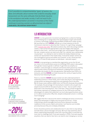*'It isn't possible to compartmentalise 'types' of sexism, the ideas and attitudes about women that underlie everyday street harassment are the same attitudes that facilitate injustice in the workplace and wider society. It will not work to fix the underrepresentation of women in business if the media continues to portray women as dehumanised sex objects'* **Laura Bates, The Everyday Sexism Project**

# 1.0 Introduction

**SCIENCEGRRL** is a new, grassroots movement springing from a collective feeling that something has to change about the representation of girls and women in Science, Technology, Engineering and Maths (STEM) and in wider society. We launched our 2013 SCIENCEGRRL calendar as a visual response to the EU Commission's decision to advertise their 'Science: it's a girl thing' campaign with a [pseudo-pop video](https://www.youtube.com/watch?v=g032MPrSjFA). We asked ourselves why, when discussing scientific careers, it felt normal and appropriate to slip into imagery that reduced women to their looks – and more worryingly, their sexual appeal? Where were the real, complex women we meet every day? Our calendar was a deliberately visual project – our attempt to start to redress the totally imbalanced way women are represented in the media today. It should be simple: women are not a homogenous group and neither are scientists, so let's showcase that diversity. It's time to treat women as individuals – and with respect.

SCIENCEGRRL is now growing as a membership organisation across the UK and our vision is for a world where access to a fulfilling STEM career is decoupled from gender, however gender is defined. To get there we amplify our members' voices through our networks and harness their passion by creating opportunities within existing local frameworks, enabling them to become accessible role models for the next generation. We believe that STEM is for everyone, and that **SCIENCEGRRL** can help showcase the variety of opportunities that arise from following this path.

There is a need for **SCIENCEGRRL** because women are still underrepresented in leadership positions in these fields, and in areas like physics and engineering young women are being prevented from even getting a foot in the door. We've chosen some statistics (WISE 2012; IoP 2012) to illustrate this problem – for example, the percentage of A-level physics students who are girls has stayed at around 20% for the past 20 years or more – but our point is that these aren't new shocking facts. This is old news. There is broad recognition that women represent an untapped resource for the STEM sector and that allowing girls to realise their potential is as much about good business sense as it is about social justice. Why then, despite widespread concern, is nothing much changing?

We suggest that this is because the need to challenge pervasive unconscious biases and stereotypes is largely only ever given lip service – if that. Undermining cultural messages and social norms represent invisible roadblocks to the success of girls and women. Such barriers are invisible precisely because they are so deeply embedded.

Action should be positive and collaborative but it's also time to stop talking and take these cultural messages seriously. We must raise awareness about where undermining stereotypes come from, how they affect us and then we must start to challenge them. If we want equality in STEM, if we want equality anywhere, then we need to face facts: we need to start changing our society.



13% of those working in occupations classed as stem

1% of apprenticeships in construction, planning and the built environment

 $\sim$ 20% of a-level physics students, unchanged for 20 years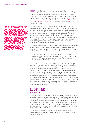we see this report as an opportunity to start a conversation about how we truly embed gender awareness and broader diversity issues into better Stem Educ and improve car advice for everyone

**SCIENCEGRRL** wants girls and women to feel they have a 'right to be there' when it comes to traditionally male domains and this needs action at all levels of society, education and careers. Whilst a detailed review of workplace culture is out of the scope of this report it is critical to recognise its influence on career choice and progression. For example, we support initiatives that encourage good practice on workplace diversity such as the [Athena Swan](http://www.athenaswan.org.uk/)  [Charter,](http://www.athenaswan.org.uk/) the [Daphne Jackson Trust](http://www.daphnejackson.org/) and efforts to ensure equitable hiring and promotion practice.

The scope of this report is to examine the challenges facing girls and young women from an early age and up until the time they decide whether or not to pursue. It goes on to review current solutions to addressing female underrepresentation. Our approach was informed by a strong commitment to explore what is happening on the ground through a literature review and consultation with core stakeholders. It has proved to be a useful strategy and has revealed that these solutions rarely engage with academic literature and rarely embed gender equality into mainstream practice. Women and girls are so conspicuous in their absence that we feel compelled to talk of gender-blindness.

This gender-blindness must be corrected as a matter of urgency and requires all STEM advocates to consider the participation, needs and realities of women. They must proactively use the gender lens to look 'through both eyes'. UNESCO (2006) explains the gender lens as follows:

*'Think of the gender lens as putting on spectacles. Out of one lens you see the participation, needs and realities of women. Out of the other you see the participation, needs and realities of men. Your sight or vision is the combination of what both eye sees.'*

In this report we use the gender lens to make recommendations that we believe will accelerate substantive and sustainable change. For practical purposes we have assigned 'owners' and 'partners' to our recommendations, we feel that the organisations named have the power and capability to lead a discussion in these areas, but acknowledge that other stakeholders will also benefit from inclusion. We believe that viewing STEM education and careers through this lens can form the foundations for a gender-aware, collaborative approach and we call on education providers, enhancement and enrichment specialists, careers advisers, employers and Government to approach their work looking through both eyes. Importantly, we see this report as an opportunity to start a conversation about how we truly embed gender awareness and broader diversity issues into better STEM education and careers advice for everyone.

# 2.0 Challenges 2.1 Introduction

Differences in the aspirations and motivations of girls and boys are largely shaped by social and cultural expectations, we therefore believe that solving gender inequality in STEM requires wide-angle vision. We start by examining the factors that propel an individual (whatever their gender) to pursue STEM and then examine how these choices might be undermined for girls both inside and outside the classroom. This section begins by reviewing what is currently understood about this crucial decision and goes on to review the evidence through a gender lens.

The literature reviewed finds that the main influences on students' decisions regarding studying STEM in compulsory education fall broadly into three categories: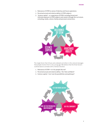- 1. Relevance of STEM to sense of identity and future aspirations
- 2. Perceived actual and relative ability in STEM subjects
- 3. 'Science capital' or, experience of STEM, including formal and informal exposure to STEM subjects and careers through the curriculum, schooling, media, culture, family and personal connections.



The single factor that infuses and underpins all others is the cultural messages that people receive from a very young age. We believe that the three factors outlined above correlate with a mental checklist:

- 1. Relevance of STEM = Is it for people like me?
- 2. Perceived actual and relative ability = Do I feel confident?
- 3. Science capital = Can I see the possibilities and pathways?

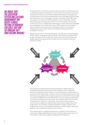WE ARGUE THAT the education system and cultural environment are deeply flawed, putting up barriers for girls that are so familiar they have become invisible Answering 'YES' to all of these questions follows positive reinforcement from a complex interplay of environments: wider society, the classroom, the home and personal networks, and finally, the potential workplace. We argue that currently these environments are gendered to the advantage of boys through the intersection of two stereotypes – gender stereotypes and STEM career stereotypes. Currently, the STEM stereotype is more compatible with the male stereotype and expectations than it is with the female. The solution as we see it is not to conflate these stereotypes as many disastrous campaigns have attempted, but to smash them open. STEM careers are not all about heavy machinery and oily overalls, and being a woman is not all about being beautiful and caring. These are unhelpful stereotypes that are limiting for everyone.

We believe that much of the handwringing – *'but why aren't more girls taking STEM?'* unfairly, although perhaps subconsciously, places the responsibility on girls. We argue that the education system and cultural environment are deeply flawed, putting up barriers for girls that are so familiar they have become invisible.



The evidence reviewed finds that perceived ability in STEM subjects is underpinned by both attainment and self-confidence, both in absolute terms and compared to other subjects. Furthermore there is a belief that it is necessary to be 'really brainy' to study science. The Aspires report (2013) finds that many young people with average or good levels of attainment feel unable to continue studying science because they see post-16 science qualifications and careers as being only for the 'brainy' few. Coupled with this is the desire to maximise the number of 'tariff points' accrued from level 3 study to improve level 4 progression opportunities particularly to higher education programmes. Thus students compare themselves to other students, then compare their actual or anticipated performance in STEM subjects with other subjects, and conclude that science is not for them.

Prior achievement is a significant influence on students' course choices in school and college. Predictably, those who do well in maths and science are more likely to study those subjects subsequently (TISME 2013).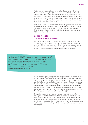Ability is in part about self-confidence rather than absolute ability (e.g. Murphy and Whitelegg 2006). For example, Aspires (2013) found that those who are traditionally under-represented in post-16 physical sciences and mathematics (notably girls, working-class and certain minority ethnic pupils) tend to be less confident in their own abilities, and are less likely to identify themselves as being 'good' at science and/or mathematics – irrespective of their actual abilities and attainment.

Furthermore in a survey of 23,000 12–15 year old girls who want to study physics beyond 16, more have lower confidence in their abilities than boys, despite tests revealing no difference in their actual conceptual abilities (UPMAP project, cited in TISME 2013). Similar findings are reported in the US too (Hill et al 2010).

## 2.2 Wider Society 2.2.1 Cultural messages about women

Despite being in an age of challenging gender roles, we still live with the echoes and reality of a patriarchal culture. Recognition of patriarchy (a social order in which men are the primary holders of power and decision making) is not an accusatory statement. It is necessary to look at long-held systems through a gender lens to make real progress towards real equality.

*'We have to start talking about substantive equality which acknowledges the historic imbalances between men and women in our society rather than formal equality. Real equality means treating 'as equals' while taking account of the context of our lives'*  **Baroness Helena Kennedy, (2005)**

> We've come a long way, but gender inequality in the UK is no distant memory. In many ways, it is just less obvious than in the past. However, present day conversations often occur in a vacuum that doesn't recognise how close that past is. We haven't yet reached the 100th anniversary of (some) women's right to vote, and we're still more than 10 years away from the centenary in 2028 when democratic rights were extended for all women in the UK. The Equal Pay Act came into force in 1970 and we still have a gender pay gap. In 1980 women were allowed to apply for a loan or a credit care in their own names. Marital rape was only criminalised in England in 1991.

> Today, girls and women are told they can be whatever they want. They are hearing the words (Ofsted 2011) but how can we expect them to heed the message when we still talk about a 'working mum' but not a 'working dad'? When women are narrowly represented in the media and the toys children are given are gendered so that girls toys are more likely to reinforce domestic duties and physical perfection, whilst the boys get action roles and adventure challenges?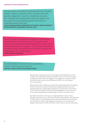*'The toys rated as most likely to be educational and to develop children's physical, cognitive, artistic, and other skills were typically categorized as neutral or moderately masculine. We concluded that strongly gender-typed toys appear to be less supportive of optimal development than neutral or moderately gender-typed toys'* 

**Judith Elaine Blakemore, Professor of Psychology, Indiana University− Purdue University. (Blakemore & Centers, 2005)**

*'Recently I bought my daughter new pyjamas, they were from the 'boys' section. They had robots on. My daughter spent about an hour before bed time pretending to be a robot and we talked about electronics and space... if all girls are exposed to is princesses, fairies, and ballet dancers then their narratives are limited and so are their life options'* **Carmel Offord, ScienceGrrl**

*'One of the difficult smoke and mirrors of patriarchy is that no-one has ever not lived in it'* **Jude Kelly, Artistic Director Southbank Centre** 

> We talk about 'having it all' but true sharing of responsibilities is not yet a reality. The implication that girls and women have 'never had it so good' undermines further effort for progress. The suggestion is that we should be satisfied with what we have. We believe there is no such thing as too much equality.

What maintains this imbalance of power? We argue that gender stereotypes feed the unconscious biases that permeate organisational process and individual decision making. We are pleased to see the House of Commons Science and Technology Committee (2014) highlighted unconscious bias as an undermining thread running through a woman's scientific career.

The dearth of women at the top is an ongoing battle in many sectors (Women's Business Council 2013) and involves similar barriers. The difference in STEM careers is that the gap presents itself early within formal education and continues to widen with ongoing consequences. A restricted set of subjects open doors to STEM, and these critical choices must be made early.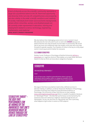*'A lack of diversity across the scientific community represents a large loss of potential talent to the UK. Restricted opportunity and diversity limits not only UK competitiveness and prosperity, but also vitality in the wider scientific workforce and creativity in society. Individuals from lower socio-economic backgrounds, certain ethnic minorities, women, and disabled people are all currently under-represented in education, training and employment related to science, technology, engineering, mathematics, and medicine'* **Royal Society, Diversity Programme**

> We also believe that challenging social norms is not a 'women's issue'. We welcome the men who want to join or work with **SCIENCEGRRL** because we believe that the next step forwards must be taken in partnership. We would like to see more non-traditional male role models; more men who truly step forwards for gender equality. True freedom of choice is the key to a truly equal world. A more equal world is better for everyone.

### 2.2.2 Gender Stereotypes

Shelley Correll, Professor of Sociology at Stanford University [defines a](http://leanin.org/education/creating-a-level-playing-field/)  [stereotype](http://leanin.org/education/creating-a-level-playing-field/) as a 'cognitive shortcut' that enables us to make faster decisions based on what we think we know about categories of people.

# **STERENTYPE**

### ˈstɛrɪə(ʊ)tʌɪp,ˈstɪərɪə(ʊ)-/

*noun*

A set of inaccurate, simplistic generalizations about a group of individuals which enables others to categorize members of this group and treat them routinely according to these expectations.

She argues that these assumptions lead to bias, defined as errors in decision making. In addition, as Steven Stroessner (Professor of Psychology, Columbia University) and Catherine Good (Assistant Professor of Psychology, City University of New York) discuss on their website [\(www.reducingstereotypethreat.org\)](http://reducingstereotypethreat.org/) there is a wealth of academic literature on 'Stereotype Threat' – the idea that 'performance can be harmed by the awareness that one's behaviour might be viewed through the lens of stereotypes'. As you can see from our 'Neurotrash' box, this is precisely what happens to girls when it comes to STEM subjects.

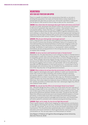## Neurotrash: with your host Professor Gina Rippon

There is a wealth of evidence from neuroscience that tells us not only is dividing the population into male and female halves overly simplistic, it perpetuates the idea that our brains are 'hard wired' and there's nothing we can do about it. We turned to Gina to help us take out the 'neurotrash'.

SCIENCEGRRL: Gina, where does the stereotype about girls' brains and science come from?

It's part of a wider stereotype that women's brains do not process information in the kind of systematic way required in science – that women's lack of 'visuospatial ability' means that they can't engage with scientific careers. But there is good evidence that actually these kinds of cognitive differences don't exist anyway or, where they do, they can be altered by appropriate training and experience. But the field is littered with just the same sort of problems that have characterised pre-20th century 'research' this area - in other words, 'neurotrash'.

#### SCIENCEGRRL: Why do you think gender stereotypes persist?

That's a big question, tied up with many political and historical factors, but the misuse of science has certainly contributed. Some of it is based on the misunderstanding and misrepresentation of what brain imaging studies are actually telling us, often the product of ill-informed journalism or populist writings. Sometimes it's bad science, or 'neurosexism', where scientists themselves ask the wrong questions in the wrong way and use stereotypes to explain their findings.

#### SCIENCEGRRL: So we're not born with hardwired male or female brains?

Absolutely not, The idea that there is such a thing as a male or a female brain is a stereotype in itself! And I think the concept of 'hardwiring' is really bad news. It completely ignores what we know about how our brains change during our lives. These changes obviously happen during critical periods of development but also as the result of all sorts of things we do during our lives, such as taxi driving and juggling. And our brains are 'permeable' and can be affected by attitudes and self-perceptions in the world around us – a world that is full of stereotypes and unconscious bias. As Cordelia Fine has pointed out, a world full of the 'drip drip drip' of the gendered environment.

SCIENCEGRRL: What evidence do we have that the environment can affect us in this way?

Well, negative stereotypes about girls' abilities in maths can translate into lower test scores but when examiners tell students that girls and boys are equally capable in maths, the difference in performance essentially disappears ( Hill et al 2010). It works the other way, too. Michalska et al (2013) report that girls are much more likely to rate themselves as more empathic than boys, even when objective measures show no difference. Also, activating the 'women are better at verbal tasks than men' stereotype negatively affects men (Seibt & Foster 2004).

#### SCIENCEGRRL: So, can we see the effects of stereotype threat in our brains?

Yes – MaryJane Wraga has done a really nice study where she took 3 groups of females and got them to do a mental rotation task while in a brain scanner. This sort of task is one of the very few where there is some evidence of very small, group level differences between females and males. The group that was told about this difference performed worst and showed different patterns of brain activation, in those areas more often associated with emotional processes. A group that was given positive messages performed best, and showed brain activation patterns consistent with visual processing and working memory.

#### SCIENCEGRRL: Right, we're ready. So, how do we fight Neurotrash?

There is good research, where brain imaging can make positive contributions to the saga by informing the real story. Scientists can help everyone develop a 'nose for 'neurotrash', so we can root out the neurotrash and stamp out the neurosexism. This should be done systematically, and in collaboration with educators and social scientists to inform good practice, and to move the conversation on. You can also report it as #neurotrash on Twitter!

Gina Rippon is Professor of Cognitive Neuroimaging at Aston University. (See also Fine et al, 2010)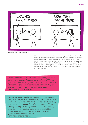

Adapted from www.xkcd.com/385/

When we look at the content of gender stereotypes, it is clear that our culture implicitly reinforces stereotypical male characteristics and roles as desirable and devalues stereotypically female ones. Being called 'a girl' is a pretty damning playground insult. Devaluation of such characteristics is obviously bad for girls. We argue it is also bad for boys, both in terms of personal development and allowing them to be truly free to choose their own paths. Men who choose stereotypically female paths come up against social and institutional barriers.

*'I have a daughter who is 6 years old. From an early age she is presented, by a range of sources, with the dilemma 'if I'm not pretty, then what am I?' I agree with ScienceGrrl that we need to stop defining girls by their looks and focus on what they can do and the impact they can and will have on the world'* **@belindaparmar, CEO of Lady Geek**

*'Women are supposed to be very calm generally: but women feel just as men feel; they need exercise for their faculties it is narrow-minded in their more privileged fellow-creatures to say that they ought to confine themselves to making puddings and knitting stockings, to playing on the piano and embroidering bags. It is thoughtless to condemn them, or laugh at them, if they seek to do more or learn more than custom has pronounced necessary for their sex'* **Charlotte Bronte, Jane Eyre (1847)**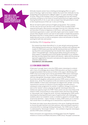#### THROUGH BOTH eyes: The case for a gender lens in STEM



Attitudes towards women have a limiting and damaging effect on a girl's sense of having a 'right to be there'. Indeed, the recent Girls' Attitudes Survey (Girlguiding 2013) questioned 1288 girls aged 7–21 years old about a range of issues. Many of the findings in this survey (ranging from low self-esteem and body confidence to the extent of sexual harassment) are hugely upsetting. Hearing that 60% of 16–21 year olds surveyed 'have felt patronised or made to feel stupid because of their sex' is one such finding.

We do not want to paint a picture of fragile young women. This is plainly not the case, but we must see this in the context of the invisible hurdles experienced by girls. More positive messages from the Girls' Attitudes survey are that when it comes to happiness in the future, '45% spontaneously mentioned a good job or career' and 55% of girls want to be a leader in their chosen field, despite concern over lack of role models in leadership positions. We believe that this is closely linked to wider debates about how we define leadership and success, as well as workplace culture and attitudes to flexible working for both men and women.

Julie Bentley, CEO of [Girlguiding](https://www.girlguiding.org.uk/home.aspx), told us:

*'Our research has shown that 62% of 11–21 year old girls and young women think engineering and science are 'more for boys' and that a lack of female role models in STEM careers puts them off. We have found that over half of girls say they think science/engineering is too hard for them, despite the evidence, cited in 'Through Both Eyes', showing equal ability among girls and boys in these subjects. Girlguiding works to bust gender stereotypes so our members feel they can fully explore their talents and interests. I agree with the joined up approach suggested by ScienceGrrl and welcome the opportunity to discuss potential collaborations.'*

**Julie Bentley, CEO GirlGuiding**

### 2.2.3 STEM CAREERS STEREOTYPES

If that wasn't enough, there is also the STEM careers stereotype to contend with. A lack of knowledge about where STEM education can lead is a widely recognised problem that we discuss further in this report. Identifying with STEM is key to pursuing it and a narrow and limited STEM careers stereotype undermines that process. The current STEM stereotype aligns most closely with the male gender stereotype. Indeed, research by the TISME project found that most daughters and parents perceive STEM careers as masculine (Archer et al., 2013). The exceptions to this are medicine and the life sciences (HESA 2008/9), in these areas stereotypes are aligned with 'female' nurturing characteristics and less of a barrier to access despite real difficulties in subsequent career progression for women. In addition, biology is commonly seen as the 'easiest' science, playing into gender stereotypes about the intellectual capacity of girls for STEM. These careers are also more likely to be linked in wider consciousness to value-based careers decisions like wanting to 'help people' and 'change the world'. Actively challenging the STEM careers stereotype by showing the broad scope of opportunities, and challenging snobbery about non-academic routes, is needed to appeal to a broader range of personal identities – male or female. In reality, STEM careers are so diverse that overall there is no defining set of characteristics required for success.

This feeds into wider issues about diversity in the sector. Enabling individuals to choose the path that best suits their passions, skills and dreams requires a concerted effort to challenge limiting stereotypes. The 'STEM choice' for girls is undermined by 'Stereotype Collision' – the conflation of gender stereotypes and the STEM careers stereotype.

These conclusions are supported by a briefing paper from the Targeted Initiative on Science and Maths Education (TISME 2013). The paper summarises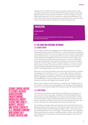findings from five STEM-education focused projects and finds that, unlike boys, girls often have to reconcile STEM-related career aspirations with their gender identities. In short, the former feel it is 'normal' to follow such careerpaths whereas girls do not. This is echoed in a report by the Wellcome Trust (2013) which found that 'young women are more likely to be concerned about science not being a field for 'people like me' than young men are'.

# **ENGINEERING**

ɛndʒɪˈnɪərɪŋ/

*noun*

The creative and practical application of science and technology to meet societal needs.

## 2.3 The Home and Personal Networks 2.3.1 Science capital

Some children benefit from engagement with STEM disciplines and careers through their families and social networks – in other words they are endowed with a significant amount of 'science capital' (Archer et al 2014). As the Aspires report (2013) explains, 'science capital refers to science-related qualifications, understanding, knowledge (about science and 'how it works'), interest and social contacts (e.g. knowing someone who works in a science-related job)'. The evidence presented in this report shows that the more science capital a family has, the more likely a child is to express interest in science as a career and/or aspire to study science further (see also Archer et al., 2012). Science capital and high teacher/parent expectation can override some invisible barriers and empower girls to say 'YES' to STEM.

Wellcome Trust (2013) and Aspires (2013) both report that families constitute the greatest source of influence on 10 – 14 year olds' aspirations. Both the general influence of the family on aspirations, and the correlation between family engagement in STEM and girls' choices are supported by the evidence from Ofsted (2011). They found that only a minority of girls chose a STEM education and career path against their parents' advice.

While science capital is a clear influence on early decision making, access to this capital is currently not equally available to all. We argue that broadening access to science capital through STEM networks would be widely beneficial.

### 2.3.2 EXPECTATIONS

The literature demonstrates that attitudes and beliefs are limiting girls in a very real sense from an early age. This applies to both learning and careers. Most people associate STEM subjects and careers with masculinity, and the arts and humanities fields with femininity (Hill et al 2010). This bias not only affects individuals' attitudes toward others but may also influence girls' and women's likelihood of cultivating their own interest in STEM areas.

Girls' thinking is strongly influenced by family and friends (Ofsted 2011), but gendered perspectives can also be reinforced by teachers and schools (House of Commons Science and Technology Committee, 2013) – and culture more generally (Ofsted 2011). From Year 3 (age 7–8) onwards girls' views regarding future careers tend to conform to traditional notions of 'girls' jobs' and 'boys' jobs' (Ofsted 2011). These notions are reinforced by parents' views (Perkins Review, 2013).

science capital refers to science-related qualifications, understanding, knowledge (about science and 'how it works'), inte and social contacts (e.g. knowing someone who works in a science-related job)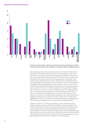

Response to the question 'What type of job would you most like your child to pursue when they finish their education?' (Engineers Week polling data 2013)

But as they grow older, their outlooks become more nuanced. Ofsted (2011) say that by secondary school girls believe 'all' jobs are open to them, and that they can choose any kind of job irrespective of tradition. Almost all the girls and young women who took part in the Ofsted survey were open to the possibility of pursuing a career that challenged gender stereotypes, if the career was of sufficient interest to them. However, this confident thinking, strongly championed by teachers and school leaders, was not matched by any noticeable shift away from gender-typical course or career choices. Almost all of these girls told Ofsted inspectors that they were not planning to pursue such a route for themselves. In the few examples where girls had changed their minds and set out on a new and unfamiliar route, that change had often been caused by a personal experience of either meeting a professional in school, or directly encountering the new kind of work for themselves. The influence of school, or of explicit careers education, was relatively small. This suggests that the girls were aware of a wider societal discourse about the 'appropriate' roles for men and women, but that what they are being told does not sufficiently challenge their real-world experiences (Ofsted 2011).

Ofsted found that in 11 of the 25 secondary schools visited, girls in Key Stage 3 said they were not sufficiently informed to make the choices their desired career paths required. They lacked information about starting salary, promotion prospects and earning potential. Furthermore, teaching about career breaks, the impact of raising a family and how careers develop through promotion was rare in all of the schools. We believe a wider societal discourse about flexible working and work life balance (including parenting) would be a good thing, and boys should be included in such conversations.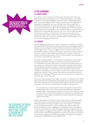

### 2.4 The Classroom 2.4.1 SUBJECT CHOICES

The statistics in the introduction of this report show that even at the very beginning of their education girls can be underrepresented in some STEM disciplines. For example, fewer girls study the science Triple Award (which gives them three separate GCSEs in physics, chemistry and biology). By not studying this programme many are excluded from further progression in STEM courses and careers. A significant proportion, including girls, do not to pursue maths beyond the age of 16 thus limiting their future educational opportunities and hindering them in the workplace (Kumar et al 2013) We are pleased this is being addressed with the new '16 to 18 core maths package'. Furthermore, students can select level 2 vocational courses that do not provide pathways to other academic and/or vocational qualifications (HM Government 2011). Thus, decisions typically made in Year 9 (at age 13 or 14) can have life-changing consequences.

### 2.4.2 TEACHERS

Limited engagement with science further reduces girls' confidence and fuels their belief that STEM subjects are difficult. Murphy and Whitelegg (2006) find that girls' access to physics is limited within the normal curriculum provision at Key Stages 3 and 4. They also suggest that on the basis of older UK and international research it may be true that boys receive more teacher attention than girls in science classes (although teachers are not aware of this), that teachers hold lower expectations for girls in these subjects and that boys are more likely to dominate class interactions.

This leads to female students' increased sense of inadequacy in the subject and the growing belief that physics is difficult and not 'for someone like me'. Wolf (HM Government 2010) points out that the UCAS tariff point score puts pressure on students to maximise their grades, possibly at the expense of studying the most relevant subject to their future educational and career aspirations, especially if it is perceived to be more difficult. A lack of selfconfidence translated into a fear of failure all contributes to girls and women being more cautious in their choices. Also, ambitious young women may be deterred from choosing STEM because they do not see how such subjects will help them get a career they want.

The science learning experience is highly influential. The Wellcome Trust (2013) report that of the various things that young people say encouraged or discouraged them when learning science, the quality of the teacher is the most commonly mentioned. The Council for Science and Technology (2013) claims that:

*'The cornerstones of a school experience that will engender an early interest in mathematics and science is clear: access to well-informed, enthusiastic teaching staff, to inspiring practical work, to enrichment and 'informal science' activities, and a curriculum that is geared to nurturing a sense of wonder and excitement in these subjects, rather than serving the needs of the assessment system too narrowly'.*

Indeed, a growing body of evidence shows that variation in teaching quality has a major impact on outcomes and that, all other things being equal, the difference between having an 'excellent' and a 'bad' teacher is equivalent to one GCSE grade (Kumar et al 2013). TISME research (2013) shows that good teaching can increase engagement, achievement and/or participation in science and mathematics. They define good teaching as approaches that enable students to engage with the subject in meaningful ways. For example, active student-centred learning approaches, based on discussion, are found to be particularly engaging and evidence correlates with higher learning gains – particularly in mathematics classes (TISME 2013).

the difference between having an 'excellent' and a 'bad' teacher is equivel **ONE GCSE GRA**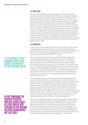### 24.3 FARIY YFARS

Education has the potential to challenge gendered beliefs that children may have acquired from either family and friends, or society more generally. The Council for Science and Technology (2013) state that 'Children's most formative experiences in determining their engagement with STEM start at Primary School'. Primary schools could therefore play a key role in engaging girls in STEM subjects, helping to overcome a range of challenges that are identified in relation to academic progression in STEM at level 2 and 3. But there is an 'acute shortage of science and mathematics specialists in primary schools': only 3% and 2% of qualified primary teachers have an initial degree in science and mathematics respectively (Royal Society 2010). The Council for Science and Technology conclude: 'Responsibilities inevitably fall on the shoulders of generalists, who often do not have the expertise and confidence to make up for this shortfall'. This is important as research has found that 'primary teachers' knowledge and confidence in science has [a direct effect] on students' attitudes towards science and their attainment and progression in it', (Wellcome Trust 2008).

### 2.4.4 CURRICULUM

Furthermore, viewed through a gender lens, the curriculum could be central to changing the information students receive about the role of women in STEM. As it stands, whilst there are some efforts to recognise female historical figures, the curriculum is overwhelmingly male. This further reinforces subconscious girls' beliefs that STEM is 'not for me'.

Research relating to physics analysed by Murphy and Whitelegg (2006) shows that gender influences subject choice, and that this is related to relevance in daily life, learning goals, future study and career aspirations (see also Wellcome Trust 2013 and Aspires 2013). Girls are less likely to think that the physical sciences have personal relevance, in contrast to their views of biology. Murphy and Whitelegg summarise the situation thus: 'what students consider personally relevant affects their perceptions of their areas of competency… [and] what they choose to, or feel able to, engage with in learning and assessment situations. The evidence indicates that what boys, more than girls, pay attention to and engage with is generally valued and judged relevant in physics'.

The idea that girls and boys intrinsically need different things from STEM is mistaken. We believe that evidence relating to 'relevance' reflects the identity conflict between being a girl and being a STEM student. The Institute of Physics Report 'It's Different for Girls' points to the marked increase in attainment by girls in a single sex education setting. Why? We believe that single sex schools actively create a context within which is it normal and desirable for girls to study physics, both in terms of their expectations of students and provisions of opportunities and real choice. We also believe that another reasons is girls' active self-concept in this setting is one of a student, not of a 'girl' with all the stereotypes that entails. It is a mistake to keep drawing gender lines where the answer is better teaching for all.

Relevance is strongly shaped by culture and society and the construction of femininity. We argue that instead of changing the STEM curriculum 'for girls' we should be looking at promoting both more flexible attitudes towards gender identity and more realistic representations of what STEM careers actually entail, and how creative they can be. The 'STEM-stereotype' is an active and counterproductive problem. We believe that 'making the world a better place' is a value-based career choice that appeals to boys and girls. By not embedding the creative potential and real world value of STEM careers into teaching we are missing an entire demographic – not just girls.

It is a mistake to keep drawing gender lines where the answer is **BETTER TEACHING FOR ALL** 

By not embedding the creative potential and real world value OF STEM CAREERS INTO teaching we are missing an entire demographic – not just girls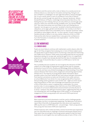# As a society we no not fmrpal failire as a vi step for innovation and learning



We'd like to end this section with a note on failure. As a society we do not embrace failure as a vital step for innovation and learning. That girls are less confident is a challenge in its own right that reflects cultural messages. Yet, in such a world, what is a lack of confidence if not a fear of failure? We see this carried through into adult life as 'Imposter Syndrome'. Athene Donald (Professor of Physics, Cambridge University) describes this as 'the feeling that you don't belong, that you are only where you are through some clerical or other error and that one day, probably soon, you will be FOUND OUT.' She notes that women are more likely to own up to feeling like an 'imposter', but she goes on to say that: 'my belief is that the phenomenon is ubiquitous, across ages, genders and disciplines'. Our society is one that is afraid to embrace failure and vulnerability and so 'Imposter Syndrome' seems inevitable to some degree, after all – no one is perfect. A more creative and flexible attitude to failure is not only a better reflection of life in a STEM field and the skills that are needed there, it also gives the confidence to try in the first place, to exceed your own expectations – and the chance to build resilience.

# 2.5 The Workplace 2.5.1 Careers advice

Pupils are more likely to continue with mathematics and/or physics after the age of 16 if they recognise that studying one or more of these subjects post-16 stands them in good stead in terms of achieving a well-paid and interesting job (TISME 2013). However, STEM careers (excluding medicine) are not popular aspirations among 10–14 year olds, and by the age of 10 or 11 a significant proportion of pupils have already decided that the idea of studying science after the age of 16 and the idea of a career in a STEM area is 'not for me' (TISME 2013).

This is probably because students do not recognise the relevance of STEM subjects to a wide range of employment opportunities (see for example. Automotive Council UK 2013, Murphy and Whitelegg 2006 and Wellcome Trust 2013), and have very limited knowledge and understanding of how their choices influence their future career, progression and earning opportunities (Ofsted 2011). The majority of young people obtain information about possible careers from their family (67 per cent); almost half gain information from teachers and almost as many use information from career advisors at school (Wellcome Trust 2013). It is now recognised by 87% of teachers that providing careers guidance is part of their role – eight out of ten would base that guidance on their own knowledge and experience and around a fifth of them think a career in engineering is undesirable. On a more positive note, it is encouraging to learn that nine out of ten STEM teachers are aware of curriculum enhancement and enrichment activities (Kumar et al 2013) – however only 46% got involved in them, suggesting that they are not extending their own knowledge about STEM careers, or increasing the engagement of their young people with real-world STEM experiences.

### 2.5.2 Work experience

Work experience and work placements could be used to challenge gender stereotypes, but this is not generally happening. The Wellcome Trust (2013) report that of the 61% of young people who have done work experience, 28% say this was in a STEM field, and – unsurprisingly – fewer young women than young men have done STEM work experience.

Ofsted inspectors who visited secondary schools found that work experience was not used effectively to challenge vocational stereotypes (Ofsted 2011). They report that not enough of the young women spoken to had first-hand experience of, and insights into, less traditional areas of work. Of the 1,725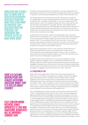Employers and schools need to know how to develop relationships with each other ai what each other want or can offer. They also need practical strategies for eni<del>taitie</del>ment <del>a</del> physical access in more riirai are



a key concern among potential female apprentices is that nontraditional workplaces will be unfriendly towards them

examples of work placements for young women, only 164 represented nonstereotypical experiences. Almost all were stereotypically female, for example in education, hair and beauty establishments, offices, retail and health care.

The Ofsted report (2011) finds that most of the schools had not explicitly encouraged girls to choose something different, but that most would support a student's wish, if possible. Exceptionally, in one case a young woman felt deterred by her school. She enjoyed working with motor cycles and cars and had found her own placement in a garage. However, she thought that her school considered that this was not acceptable; she believed this was because school staff held stereotypical views about the kind of placement that was suitable. She reluctantly undertook a placement in a nursery, but later studied motor vehicle maintenance at college.

In all but three of the schools visited, the young women were required to identify their own placements. As a result, much of this pattern was dependent on the young women's family background and resources. Some of the girls spoken to said, 'It's not what you know, it's who you know.' In one rural location, work experience had been reduced to one week as it was difficult to find placements. Therefore, the young women felt lucky to get a placement, irrespective of whether it matched their interests.

Many of the young women in Year 11 interviewed by Ofsted felt that, on reflection, they should have been more adventurous in their choices. These reflections were subsequently helpful to those in Year 10, and this demonstrates the impact that older students can have when they share their experiences and are challenged to appraise them.

In addition there are broader barriers to schools and employers working together regardless of gender issues, as identified by the Education and Employers Task Force (EETF) (2010): Communication, Awareness, Expertise and Geography. Employers and schools need to know how to develop relationships with each other and what each other want or can offer. They also need practical strategies for engagement and physical access in more rural areas.

### 2.5.3 Perceptions of STEM

Many STEM sector organisations believe that inaccurate perceptions of STEM careers contribute to low progression to higher education and higher apprenticeships by women. Students and their families may be making judgments about future careers based on misperceptions; for example that engineering is dirty work (House of Commons Science and Technology Committee, 2013) – and unsuitable for women. Aspires (2013) research found that most 11– 14 year olds receive little, if any, careers education, and generic careers advice does not seem to influence students decisions to study STEM courses (Aspires 2013 and Holman and Finegold 2010).

This undoubtably affects views and take up of alternative routes into STEM careers. Young people and their parents have a 'hazy' understanding about apprenticeships and this knowledge is informed by stereotypes. The House of Commons Science and Technology Committee (2013) believe that 'there is a cultural misperception that plagues vocational education, namely that it is for less bright students'. Furthermore the Education and Employers Taskforce and Price Waterhouse Coopers (2012) find that 'there is a default view that apprentices are stereotypically male, and are narrow in terms of the vocational or occupational choices available'. They also found that large majorities of teenagers surveyed like the idea of jobs which have structured training and want to know more. In the new era of increased tuition fees for higher education, growing numbers of young people are interested in going straight into the workforce from school or college. But a key concern among potential female apprentices is that non-traditional workplaces will be unfriendly towards them (The Education and Employers Taskforce and Price Waterhouse Coopers, 2012).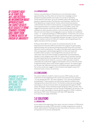Of students aged 14–16 years old, 46% had received no information about apprenticeships. The survey result also suggest a trend towards steering girls away from technical routes in favour of university

opening up STEM career stereotypes will make STEM appealing to a more diverse range of identities

### 2.5.4 Apprenticeships

Teachers are potentially an influential source of information about apprenticeships, but they often do not have the knowledge to direct prospective pupils towards such routes. In a survey of secondary school teachers 52% were 'not at all confident' about advising young people on apprenticeships (The Education and Employers Taskforce and Price Waterhouse Coopers (2012). YouGov (2011) found that teachers underestimate the extent to which parents, young people and employers value apprenticeships as a realistic alternative to academic study. This suggests that teachers will be less likely to promote apprenticeships compared to other education options, such as A-levels, which in turn means they are even less likely to encourage girls to pursue 'doubly non-traditional' routes – i.e. vocational pathways in STEM disciplines. Furthermore, The Council for Science and Technology (2013) argue that there has been a proliferation of qualifications available to young people between the ages of 16 and 19, and this has created a real lack of clarity for students, obscuring pathways into higher education and the workplace.

Professor Alison Wolf in her review of vocational education for the Department for Education (HM Government 2011) argues for good quality apprenticeships and vocational training that provide real access to further education and/or employment. She argues that high quality apprenticeships offer young people a demanding programme of work and study with excellent career prospects. Such programmes are popular and oversubscribed. The Government broadly accepted these recommendations, saying in a 2013 progress report that 'our system has no business tracking and steering [students] into programmes which are effectively dead ends' (HM Government 2013). However, a survey of 1080 secondary students undertaken by GradCracker suggests that despite a drive to raise the profile of apprenticeships, these routes remain largely unknown. Of students aged 14–16 years old, 46% had received no information about apprenticeships. The survey results also suggest a trend towards steering girls away from technical routes in favour of university.

# 2.6 Conclusions

The reasons behind a student's choice to pursue STEM studies are wellunderstood. At the beginning of this section we proposed 3 key questions – 'Is it for people like me?' 'Do I feel confident?' 'Can I see the possibilities and pathways?' These questions are effectively asked by students when making decisions about their future. The literature shows pervasive gender stereotypes in all environments which are perpetuated through the STEM career stereotype. These contribute to girls being less likely to answer 'YES' than boys. These stereotypes must be robustly challenged in all quarters if we are ever to make real progress towards gender equality in STEM. In addition, opening up STEM career stereotypes will make STEM appealing to a more diverse range of identities.

# 3.0 Solutions 3.1. Introduction

As we stated at the beginning of this report, the lack of women in STEM and of young women pursuing a STEM education is widely recognised as a waste of talent. Addressing this challenge has been described as 'business critical' and an imperative for economic development.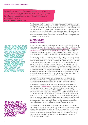*'By equalising the labour force participation rates of men and women, the UK could further increase GDP per capita growth by 0.5 percentage points per year, with potential gains of 10% of GDP by 2030'*  **Women's Business Council, 2013**



we are all living in an increasingly sexi and sexualised culture, aithoilgh it is far ci far how wf arrive at this point

The challenges section has used a mental gender lens to unveil the challenges facing young women entering STEM. In the solutions section we begin to bring in a physical gender lens to investigate the real life practical solutions that are being implemented on the ground. We review the solutions in the context of the four environments discussed in the challenges section: wider society; the home and personal networks; the classroom and the potential workplace. We draw out recommendations within these environments that will empower girls to answer 'YES' to our questions.

## 3.2 Wider Society 3.2.1 Gender Stereotypes

In recent years the so called 'fourth wave' activists and organisations have been making great strides in bringing feminism back up the social and political agenda. Groups like the Everyday Sexism Projec[t,](http://everydaysexism.com/) [No More Page Three,](http://nomorepage3.org/) the [Women of](http://www.southbankcentre.co.uk/women-of-the-world)  [the World festival](http://www.southbankcentre.co.uk/women-of-the-world) (WOW) and the [women on bank notes](http://www.change.org/en-GB/petitions/we-need-women-on-british-banknotes ) campaign have all contributed to widening understanding of our social inequalities. This is the wider context within which we can begin to address the inequalities in STEM.

One of the ways in which these inequalities can be seen is in the representation of women in the media. We must cast a wider net for positive female role models. We were dismayed to find a careers article about F1 (Formula One) in BBC Top Gear magazine that began 'so you're a schoolboy' and proceeded to show a graphic of an all-male engineering team. The only females depicted were in media/hospitality roles – and wearing short skirts. We arranged to speak with Charlie Turner, the editor, and reached an understanding about the importance of female role models – for the girls themselves but also for fathers of daughters who are likely readers of the magazine – and reached an agreement to continue a careers thread on F1 that included male and female success stories from the recently launched Silverstone University Technical College.

We call on TV and other media to use the gender lens when casting new characters in widely viewed programmes, commissioning new series that challenge gender stereotypes, and to both train and use female experts.

In addition to shaping the media, educating children about advertising is equally important. [Media Smart](http://www.mediasmart.org.uk/) is a non-profit organisation specialising in media education for primary school children. In a 2007 evaluation of the value of their education packs for children, 99.5% of teachers agreed with the statement that 'children are easily influenced by advertisers' and 79.8% felt that media education was necessary to 'prevent children being exploited by advertisers'. The Government Equalities Office partnered with Media Smart to launch an educational pack specifically to focus on the prevalence of low selfesteem and low body confidence perpetuated by doctored media images. As we highlighted in the challenges section, young women today are under huge pressure to conform to idealised notions of physical perfection.

The Government accepted the findings of the 'Letting Children Be Children' report (Bailey 2011), which considered that 'we are all living in an increasingly sexual and sexualised culture, although it is far from clear how we arrived at this point' and that 'sexualised and gender-stereotyped clothing, products and services for children are the biggest areas of concern for parents and many non-commercial organisations'. Through a call for evidence from nearly 1000 parents, it was clear that: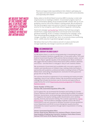*'Parents are happy to take responsibility for their children's upbringing, but they expect and want businesses and others to support them and to deal fairly and responsibly with children.'*

Bailey called on the British Retail Consortium (BRC) to develop 'a retail code of good practice on retailing to children'. A Government progress report on this recommendation (Bailey 2013) revealed that BRC member take up of such guidelines stood at 51% of the children's clothing market. We are pleased to see that the progress report also points to interest in developing such good practice for toys and games, specifically referencing gender stereotyping.

Parent-led campaign ['Let Toys Be Toys'](http://www.lettoysbetoys.org.uk/) believes that 'both boys and girls benefit from a range of play experiences and should not be restricted by gendered marketing'. Of the 14 retailers contacted by the campaign, seven have removed gendered signage and five are 'in the process' of making changes. A broader 'Let Toys Be Toys' 2012–13 survey also shows a promising trend – a 60% reduction in gendered signage in one year.

We believe that much of the evidence and will is in place and that with stronger leadership, real changes in practice are within reach.

#### RECOMMENDATION Leadership on gender equality 1.

1.1 We believe there is a case for strong leadership in translating the large amount of academic literature on gender (see 1.2) into public policy. This could build on Government Equality Office policies that are already in place, such as 'Think, Act, Report' (gender equality in the workplace) and 'Body Confidence'. We suggest that the evidence shows these factors affect children's identities and choices – and that there is a real gap in 'duty of care' towards children.

We recommend a Government-led roundtable with cross-party support for retailers and manufacturers of children's toys, clothing, books and media in partnership with academics, professional bodies including Institute of Physics, Media Smart, GirlGuiding, EveryDaySexism, ScienceGrrl & other grassroots groups like Let Toys Be Toys.

The outcome should be an agreement of core marketing and media principles regarding a 'duty of care' towards children. We recommend working towards a pledge that includes the business case for diversity and opportunity as supported by the current [Royal Society diversity programme](http://royalsociety.org/about-us/diversity/) and Women's [Business Council.](https://www.gov.uk/government/policy-advisory-groups/womens-business-council)

Owner: Number 10 Policy Unit Partners: BIS, Government Equalities Office, BRC,

1.2 To support this, we recommend the formation and funding of a Gender Science Taskforce with the explicit aim of synthesising the wealth of academic feminism, neuroscience, social psychology, educational and sociological data for integration into teacher training, public dissemination and to develop equality, diversity and inclusion training. This could be supported by a [Sense](http://www.senseaboutscience.org/)  [About Science](http://www.senseaboutscience.org/) – Ask for Evidence campaign on gender science. We call on Government to use such resources to develop consistent inclusion guidelines across Departments and RCUK to ensure that gender equality becomes embedded into research questions through explicit requirements in funding processes.

#### Owners: Government Equalities Office

Partners: Royal Society, Wellcome Trust, Institute of Physics, Science Council, Royal Academy of Engineering, ScienceGrrl, Academics, Sense About Science, National STEM Centre, RCUK, Equality Challenge Unit

We believe that much of the evidence and **WILL IS IN PLACE AN** that with stro Leadership, rfa changes in practice are within reach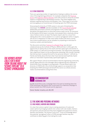### 3.2.2 STEM Stereotypes

There are a growing number of organisations helping to address the narrow view of the engineering profession. For example companies like [Practical](http://practicalaction.org/)  [Action](http://practicalaction.org/) and [Engineers Without Borders](http://www.ewb-uk.org/) work with schools to show the societal impacts of engineering in developing countries. They draw tangible links between engineering solutions and peoples' lives. These types of activities and messaging are an essential part of breaking open the STEM stereotype.

Showcasing the diversity of STEM careers is also part of breaking this stereotype. The **SCIENCEGRRL** calendar (available on the [Future Morph website](http://www.futuremorph.org/11-13/case-studies/sciencegrrl-calendar/)) deliberately presented scientists and engineers from a wide range of disciplines and applications to show that science really can be 'for everyone'. As the Aspires (2013) report concludes, most people have a relatively narrow view of where science can lead. The Aspires report calls for a move from talking about the 'science pipeline' to a 'science springboard' which, it argues, will serve to 'emphasise its wide value within modern life and to convey how science qualifications can be valuable for propelling an individual to numerous careers and destinations.'

The discussion workshop ['Science it's a People Thing'](https://www.iop.org/education/teacher/support/girls_physics/people-thing/page_61998.html) was devised collaboratively by the Institute of Physics, WISE and Intel. It offers girls the opportunity to openly discuss the myths and facts about girls and women in STEM careers in a safe and nurturing environment. This opportunity reportedly had a significant impact on the young women attending, with one girl claiming that she was keen to spread the work to her personal network: 'I will tell my friends and family about the facts that I have learned and hopefully inspire others as I have been inspired today' (participant aged 13).

We support Perkins' (2013) recommendation that the engineering community should 'agree effective core messages about engineering and cooperate to disseminate these messages to young people.' A broad-based report into diversity in STEM (CaSE, 2014 forthcoming) supports our proposition that breaking the STEM stereotype will benefit the sector as a whole and also makes recommendations along these lines.



2.1 We would like to see a campaign that is focused on breaking down the STEM stereotype. We believe that current plans for a National campaign to attract women into STEM should use this approach.

Owner: Number 10 policy unit, BIS, DfE

## 3.3 The Home and Personal Networks 3.3.1 Role models, mentors and sponsors

It is clear that science capital is key to raising awareness of routes and career options by bringing students into contact with role models, mentors and sponsors and also because they have engaged and supportive schools, teachers and families. The reverse is also true – a lack of knowledge about the potential 'springboard' effect of STEM amongst families may also contribute to deterring girls from taking this route.

The Aspires report calls for a move from talking about the 'science pipeline' to a 'science springboard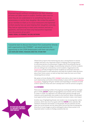*'Empowering girls without consideration for their situation at home can often result in conflict. Families often react to what they do not understand or to something they see as unnecessary or not for their daughter. We invited the parents of our mentees to meet us in a local restaurant and explained to them exactly how we were helping their daughters and why. They had an opportunity to meet some mentors and ask us questions, and since we have only had positive responses from the parents of our girls'* **Charly Young, Co-Founder, The Girls Network**

*'I would be keen to discuss how Future First could partner directly with organisations like STEMNET – we would welcome the opportunity to link STEM Ambassadors with their old schools'* **Alex Shapland-Howes, Managing Director, Future First**

> Ofsted (2011) reports that mentoring was also a strong feature in several colleges and had a very important impact in helping some young women to overcome barriers to achievement. Hughes (2011) recommends that all secondary schools and colleges should develop networks of former students who are willing to be contacted by current students. Organisations like [Future First](http://futurefirst.org.uk/) actively arrange for former students to come back and work with current pupils to raise aspirations and help the students make decisions about their future careers, as well as help them make the most out of their remaining time at school.

We spoke to Kirsten Bodley (CEO, **STEMNET**) who told us she is keen to develop such relationships and build on those already in place with the [Social Mobility](http://www.socialmobility.org.uk/)  [Foundation.](http://www.socialmobility.org.uk/) Engaging with girls' families and expanding on networks to build science capital for those who don't already have it will be central to progress.

### 3.3.2 Networks

There are an increasing number of local groups working specifically to target girls in STEM. SCIENCEGRRL chapters bring together local women with an interest or career in STEM. Our approach is to channel their passion through local networks and bring female role models to the forefront. Better coordinated local opportunities would help time-pressed volunteers make a real impact.

Another way of highlighting female role models is by increasing their online presence, which was one of our goals with the **SCIENCEGRRI** 2013 calendar. We wanted to showcase real women, as real people. Not all scientists are the same, but not all women are the same either and we feel that increasing the diversity of visual images as well as telling girls about these women is as important when it comes to finding 'someone like me'.

IER WAS AN ENGINEER so I saw what it was about from young age'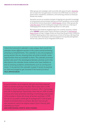Other groups and campaigns seek to provide safe spaces for girls. [Stemettes](http://stemettes.org/) aim to inspire the next generation of women into STEM fields via a series of panel events, hackathons, exhibitions, and mentoring schemes to showcase female role models.

Stemettes are also an excellent example of tapping into specialist knowledge of enhancement and enrichment delivery and their hackathons can be linked to the British Science Association's [CREST Awards](http://www.britishscienceassociation.org/crest-awards) scheme. Other groups like [Little Miss Geek](http://littlemissgeek.com/) and Girl Guiding also use girl-only events as a vital way of challenging these doubts and exploring failure in a safe space.

We believe that initiatives targeted at girls are currently necessary. Indeed, when SCIENCEGRRL funded a team of girls and boys to take part in International [Space School](http://sciencegrrl.co.uk/sciencegrrl-funds-six-students-to-attend-mission-discovery/) at King's College London we found that the girls were visibly less confident speaking about their experiences in front of the boys. We hope that as we break down stereotypes and move towards true equality both genders will be fully catered for by an integrated STEM sector.

*'I think the ScienceGrrl calendar is very unique. Each month the calendar shows different women in the science world achieving amazing accomplishments. This calendar is very encouraging to young women like me, showing them all of the scientific career opportunities that are available to them. The calendar promotes women who aren't the stereotypical female scientists and in the descriptions the calendar shows women who have hobbies as well as amazing academic achievements such as running and music. In my opinion this calendar is great; it serves its purpose as I feel encouraged to get involved in the world of science'* **Holly, @physicsgirlies**

*'In just 8 months, we've inspired 300 girls and have exposed them to women working in the field. We've also seen a 22% increase in those wanting to work in Science, 5% in Technology and 4% in Engineering. Importantly, there was an 18% increase in those who knew of women working in technology and overall 12% increase in those who knew of women working in STEM. Out of 10, our public events get an average of 8.7 and all girls would recommend them to a friend. We even had one girl who wanted to switch her degree subject (from History) after attending our hack!'*

**Anne-Marie Imafidon, Stemette, Head & Founder,**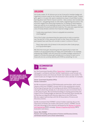### girlguiding

Girl Guide Leader, Dr Jill Johnson put on her ScienceGrrl member badge and organised a science camp for her Guide Unit, the 8th Hanwell Guides. Sixteen girls, aged 11–15 years old, spent a weekend at a base in South West London learning about each Patrol's mascot scientist – Ada Lovelace, Jane Goodall and Marie Curie – and getting hands-on with maths, engineering and science. The activities ranged from dissecting strawberries, to finding out what happens when you add dry ice to washing up liquid, to the Science Olympics – which awarded points for practical skill and creativity. The camp was supported by a crew of mostly female scientists from Imperial College London.

*'I really enjoy experiments. Science is enjoyable but sometimes mind-boggling!'*

One of the Guides volunteered that the opportunity to talk to scientists was 'the best bit' of the camp and Jill tells us that 'many of the girls who participated have said they will consider a career in science in future'.

*'There's been quite a bit of interest in the event from other Guide groups, so it'll go forward again.'*

We think that more girls should be given the opportunity to meet role models in an environment they are happy and comfortable in. For example, empowering STEMNET with the resources to enable strategic extension of support to include the places girls already are is a chance to reach out to those who do not currently identify with STEM as something 'for me'.



3.1 The Government Equality Office ['Parent Pack'](https://www.gov.uk/government/news/child-body-confidence-pack-launched-for-parents) initiative targeted at raising girls' confidence and their families' expectations could include nonstereotypical careers and showcase female role models as case studies. This could include use of images from the ScienceGrrl 2013 calendar, for example.

#### Owner: Government Equalities Office Partner: ScienceGrrl

3.2 We recommend creative STEM Ambassador partnerships, which would require a shift from STEMNET's formal remit of only working with schools. Partnering with groups like Girl Guiding would allow STEM Ambassadors to reach girls where they already are, in an extracurricular environment that is a safe space for girls. We recommend building on existing sponsorship and support of Girl Guiding badges (as National Grid and Rolls Royce already do) so that they are aligned with diversity objectives in the STEM sector. We also support partnerships with the UK Association of Science and Discovery Centres.

3.3 We recommend that STEMNET contract holders explicitly discuss the importance of female role models with partner schools. STEMNET should also take advantage of the networks developed by the [Women in Science](http://www.wisecampaign.org.uk/)  [and Engineering](http://www.wisecampaign.org.uk/) (WISE) campaign, [Women's Engineering Society](http://www.wes.org.uk/) (WES), ScienceGrrl and others.

Owner: BIS, STEMNET Partners: Girl Guiding, UK Association of Science and Discovery Centres, and female networks such as those named above.

'Our science building is called .<br>Alind Franklin Building', <sup>'</sup>T know who she was.. I was impressed!'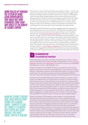Being pulled up through the system by being given opportunities that might not ha otherwise come your WAY REALLY IS THE RENEFIT of science capital

There is also a need to make role models accessible as mentors – and to move past that into sponsorship. Literature from the business sector suggests that 'women are being mentored to death' (Carter & Silva, 2010) as they progress whilst men go ahead and grab opportunities because they have sponsors. Being pulled up through the system by being given opportunities that might not have otherwise come your way really is the benefit of science capital. So whilst increasing 'exposure' to STEM professionals is no doubt a good thing, we need to work towards a system of role models and mentors who are empowered to become sponsors who offer genuine opportunities.

We believe that STEM networks could also engage better with teachers by providing improved access to information, offering real world applications of the science they teach and future job opportunities for their students. Networks like the [Stimulating Physics Network](http://www.stimulatingphysics.org/) provide direct support to teachers through resources, events and 'teaching and learning coaches'. They have a national network of coordinators (themselves experienced teachers) who provide training to physics teachers and point them to opportunities for enriching the physics curriculum. This type of teacher support is essential in ensuring that they are able to make the most of opportunities available to them. This network is also gender aware and informed by the outcomes of the Institute of Physics' [Girls in Physics Programme.](http://www.iop.org/education/teacher/support/girls_physics/action_research/page_41736.html) The Perkins Review (2013) supports this engagement with teachers by calling for professional engineers to provide continuing professional development to help inspire their students.

#### RECOMMENDATION STEM mentoring and sponsorship 4.

STEM Ambassadors and other volunteers should be aware of ways in which they may develop their activities through existing networks such as [The Girls'](http://thegirlsnetwork.org.uk/)  [Network,](http://thegirlsnetwork.org.uk/) FutureFirst and [CASinclude](http://casinclude.org.uk/) to increase the diversity of ambassadors, including more women, undertaking this role.

4.1 We recommend that STEMNET develops its partnerships with existing schemes and builds on the links these organisations have made with schools. Mentors could become sponsors by becoming easy points of contact for work experience. This would be especially powerful by expanding STEMNET in terms of Government funding and support and backing from the private sector.

4.2 We recommend STEM Ambassador 'Buddy Schemes' for teachers, where support can take the form of social networks, resources for Virtual Learning Environments and up to date experience of an academic or industry setting though contact with a range of local Ambassadors. We understand this already occurs in some capacity, but argue for a clearer framework and mission that also promotes this work and communicates its value to schools. Many teachers will not have experienced STEM workplaces, and teacher partnerships with STEM Ambassadors is a route to get this information to students that has legacy. Engagement of greater diversity of role models could be facilitated by using alternative communication channels e.g. Skype, Google Hangout.

4.3 We recommend STEM employers lead strongly on unifying attitudes towards enhancement and enrichment work – to be underpinned by key principles of transferable skills (communication, networking, teamwork) that are currently undervalued. We recommend such skills should be more highly valued at promotion and logged at appraisal to help assess true community impact. Policies about enhancement and enrichment time commitments should be discussed at inductions so those who are motivated feel supported in such activities. STEM Ambassadors are eligible volunteers as defined by the Police Act 1997 (criminal records) Regulations 2002 and as such the disclosure check is carried out free of charge. Currently, this means that the volunteer cannot benefit directly from their work and cannot use it as accredited CPD. We believe this situation should be reviewed so that enhancement

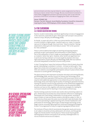and enrichment activities may be linked to career progression but that so disclosure checks remain free of charge. We also recommend investment in more Public Engagement positions and dual activity roles in line with the priorities of the RCUK Concordat on Engaging the Public with Research.

#### Owner: STEMNET, BIS

Partners: The Girls' Network, Social Mobility Foundation, FutureFirst, ScienceGrrl, Inspiring the Future, STEM Employers, RCUK, schools, CASinclude

## 3.4 The classroom: 3.4.1 Teacher education and training

Teacher–student relationships contribute significantly to levels of engagement in the classroom, especially for girls 'where girls' self-concept is less positive relative to boys' (Murphy and Whitelegg 2006).

As Keziah, 14 years old, told us 'when my science teacher said there was no point trying for a higher grade, I wanted to give up. I mean, if a teacher says you're not good enough, they must know - they're a teacher.' Raising expectations means girls are more likely to answer 'YES' to the question 'do I feel confident?'

There is some evidence that single sex teaching and learning impacts positively on girls' participation and achievement in STEM subjects. Part of the explanation is that in single sex teaching girls primarily identify as 'students' rather than 'girls'. However, other factors are significant too: in particular having a relevant curriculum taught by teachers who have high expectations of girls (Murphy and Whitelegg 2006). We must address structural inequalities so that this is true for every school.

In their 'Closing Doors' report the Institute of Physics (2013) clearly show that gender stereotyping is a problem in schools – for boys as well as girls. They argue that schools and school governors have a duty of care to reflect upon their own statistics around gender participation and put in place whole school measures to counter gender stereotyping.

The above points to the importance of teacher education and training (Murphy and Whitelegg 2006, and also Council for Science and Technology 2013). There are insufficient specialist STEM teachers (HM Government 2012), so this requires both additional approaches to recruitment (Council for Science and Technology 2013), and improving the quality of training for generalist teachers. Training for teachers should include awareness of the differential engagement of male and female students in STEM disciplines and the potential impact teachers can have on this, together with practical strategies for making the curriculum relevant and for teaching in more student-centred ways.

Teacher training could also include case studies about promoting subjects to girls. Ofsted (2011) found that one school had been effective in challenging stereotypes and 'hard selling' mathematics to young women, resulting in equal numbers of male and female students starting the subject in Year 12. In the previous three years the same course has been male dominated. Also, in a school specialising in applied learning with a female headteacher with enthusiasm for technology, 94% of girls studied design technology at Key Stage 4 and an unusually high proportion continued studying technology at A-level. Five progressed to study for engineering degrees (Ofsted 2011).

The Institute of Physics (2012) recommends that gender equity and access to all subjects should be actively addressed in all schools, and that gender targets be introduced (for A-level physics). These would require gender stereotyping by teachers and pupils to be actively challenged both in a nd out of lessons and across all subjects.

In their 'Closing Doors' report the Institute of Physics (2013) clearly show that gen stereotyping is a problem in schools – for boys as well as girls

in a school specialising in applied learning with a female headteacher with enthusiasm for technology, 94% of girls studied design technology at Key Stage 4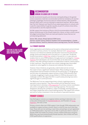

5.1 We recommend equality and diversity training (building on the gender science awareness materials recommended earlier) be mandatory for teacher training to challenge unconscious bias for trainee teachers, New Qualified Teachers (NQT) and in-service training for experience teachers. We are aware that The Girls' Network and TeachFirst are exploring positions in schools with a specific responsibility for gender equality as part of a whole school ethos, we would like to see this explored further.

5.2 We support the Institute of Physics (2013) recommendation that gender equity should be part of the Ofsted inspection criteria, so that a school cannot be judged outstanding if there are clear participation issues that are not actively being addressed.

Owner: DfE, schools, Ofsted, National STEM Centre, Partners: Gender Science Taskforce members from recommendation 1, Gender Education Alliance, TeachFirst, National Science Learning Centre, The Girls' Network

### 3.4.2 Primary education

Some organisations and initiatives are focused on enhancement and enrichment activities in primary schools. For example, National Grid's ['School Power'](http://www.nationalgrideducation.com/primary/) resource is an interactive website and education resources focused around energy, forces and materials and is focused on 4–11 year olds. The British Science Association's [CREST Star](http://www.britishscienceassociation.org/creststar) scheme is focused on 5–11 year olds and enables them to solve STEM problems through practical investigation. [Primary](http://www.primaryengineer.com/)  [Engineer](http://www.primaryengineer.com/) have developed a set of activities that can be delivered in primary schools. They offer training to teachers to enable them to deliver a these projects in their classroom. They also hold cross-school challenge days that enable students to come together to showcase and celebrate their projects.

However, these initiatives are generally underfunded and do not have the scope to have a significant national impact. Many funding sources for enhancement and enrichment activities are focused at the 11–16 age group and this does not adequately support primary school STEM education that is already struggling to inspire young children in STEM (as discussed in the challenges section). We argue that this is a particularly pressing issue and a significant gap in current provision.

The Wellcome Trust are supporting primary schools in gaining access to specialist science teachers. They have worked with the National Science Learning Centre to develop a [CPD programme](http://www.wellcome.ac.uk/Education-resources/Education-and-learning/Our-work/Teacher-training/WTS052326.htm) for primary science coordinators who wish to strengthen their science teaching expertise. This has been designed to develop the confidence, subject knowledge, teaching expertise and subject leadership skills of participating teachers. We support this scheme and call for further investment in the recruitment of specialist teachers.

# primary schools

Kate Bellingham trained as an engineer before working in television, she is Education Ambassador for [BLOODHOUND STC](http://www.bloodhoundssc.com/) and President of [Young](http://www.youngeng.org/home.asp)  [Engineers.](http://www.youngeng.org/home.asp) She told us that:

'Primary schools often lack STEM support. Even though STEM ambassadors are available to support primary schools, there is a limit to how much time they have. Those who are not working, or part time, and perhaps not yet registered as STEM Ambassadors, may have a lot to offer. In particular, there is a lack of female STEM role models for primary schools children (both boys and girls). While they may have predominantly female teachers, few of these will have STEM qualifications or experience.

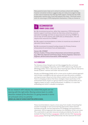Many parents/carers help out in school in primary school with reading, however anecdotal evidence suggests they are rarely encouraged to help in their area of expertise. By offering STEM support, linking into the STEM Ambassador network they could help address this need – and build useful skills for returning to STEM employment themselves, if they so choose to.'

#### RECOMMENDATION Primary school science 6.

6.1 We recommend proactive, rather than responsive, STEM Ambassador teacher support to primary schools (so that every school has access to specialist knowledge and links to resources) and a drive by STEMNET to recruit stay-at-home parents with STEM skills as Ambassadors. This will require more resources for STEMNET.

6.2 We support recommendations of others to incentivise recruitment of specialist science teachers.

6.3 We recommend increased funding streams for Primary Science enhancement & enrichment from all stakeholders.

#### Owners: BIS, STEMNET

Partners: Funders, Primary School enhancement and enrichment specialists (e.g. CREST Star, National Grid Primary Power, Primary Engineer), Tomorrow's Engineers, British Science Association, STEM employers

#### 3.4.3 Curriculum

The literature shows that girls are not fully engaged by the curriculum contents and pedagogy frequently used in STEM subjects (e.g. Murphy and Whitelegg 2006). There is discussion about teaching topics that are relevant to female students' interests and wider real world issues.

Murphy and Whitelegg (2006) call for a more active student-centred approach that includes investigative lab work, group and class discussions, problemsolving and project-based activities where students are the decision makers. There is emerging evidence that these strategies impact positively on the achievement levels of girls as a group relative to boys and that there are no negative impact on boys' overall achievement. In addition, it is clear that embedding such skills is valuable to employers.

*'All our research with industry has stated that pupils are not leaving with the right skills. Moving science back in a skills direction instead of the direction it is going towards in terms of curriculum 2014 is a priority'* **Nimish Lad, Head of Science Wootton Upper School**

> These recommendations require a move away from models of teaching that transfer knowledge to more active learning approaches where teachers facilitate and guide, and has implications for pedagogy and assessment in classrooms. Such an approach also requires a re-evaluation of the curriculum. This could build on specialist resources already provided by the sector, for example the Royal Society's ['Invigorate'](http://invigorate.royalsociety.org/) website and also their [Partnership](http://royalsociety.org/education/partnership/)  [Grants scheme](http://royalsociety.org/education/partnership/) that bring STEM professionals into the classroom for novel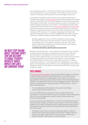and collaborative projects. The Institute of Physics (2013) supports this by recommending that curriculum developers should reflect on the curriculum content and the types of assessment to ensure meaningful access to all.

For example, showing how maths relates to the workplace and the British Interplanetary Society's new [Space A-level](http://www.bis-space.com/2014/01/29/12312/the-british-interplanetary-society-leads-space-a-level-initiative) initiative are examples of increasing relevance. Wolf (HM Government 2010), Hodgen and Marks (2013) and Aspires (2013) argue for alternative, vocationally relevant courses to be available, or for maths learning to take place in the workplace, something that has been taken on board by Government with the new [core maths qualification](https://www.gov.uk/government/publications/16-to-18-core-maths-qualifications) and ['Tech Bacc'](http://www.education.gov.uk/schools/teachingandlearning/qualifications/examsadmin/news/a00224333/techbacc) performance measure. Another way of reinforcing the relevance of STEM is to capitalise on the potential enhancement and enrichment opportunities offered in the local STEM ecosystem. For example, integrating with schemes like CREST that have been shown to enhance employability skills, offer real world experience of STEM and achieve a gender balance is one point of synergy:

*'We offer suggestions on how our CREST coordinators could encourage the schools in their area to work with more girls. There are no quick wins, but bringing it up in conversation is certainly the first step. I don't think there's a need to tailor content for girls, beyond making sure the relevance to wider society is explicit throughout.'*

**Katherine Mathieson, British Science Association**

We agree with this approach – active awareness of the gender issue, working locally to implement change, but talking about relevance for all. We must stop talking about 'teaching topics that are relevant to female students' interests' which implies that girls are somehow 'other'. We must move towards an integrated approach that recognises the weight of cultural messages and accepts that girls and boys are currently poles apart when it comes to answering the question 'is it for people like me?' Changing the curriculum to appeal to stereotypically female interests is patronising and will only reinforce the gender divide over time. We don't need to make the STEM curriculum pink to widen its range.

# crest awards

The [British Science Association's](http://www.britishscienceassociation.org/) well-respected CREST Awards are a fantastic example of project-based learning (CREST 2009–11). The CREST ethos is to encourage independent thought together with creative and practical approaches to learning and also provides students with real world experience of STEM. The evidence all shows this is key to engaging students. Importantly CREST also reliably delivers equal participation of boys and girls – even in physics-based projects.

*'It's not dumbed down, like the lessons. You're given the challenge and you've got to find the solution to it'* 

It's not just STEM skills and aspirations. There is strong evidence that participation in the CREST Awards 'introduce and enhance wider employability skills' such as self-management, problem solving, communication and business understanding.

In our conversations with stakeholders, it is clear that expanding the reach of CREST would be valuable, but that this would require a review of the delivery model and an increase in breadth to bring in engineering and maths projects. We believe this last point would be best achieved with industry backing for the CREST Awards.

*'The danger is that Science can seem too distant and abstract. It takes on status and social value when students see that STEM is integral to the likes of Coca-Cola, Apple, L'Oréal, Tesco. If local companies can take a direct interest in students' CREST projects, so much the better.'*

WE MUST STOP TALKING about 'teaching topics that are relevant to female students' interests' which implies that girls are somehow 'other'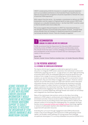CREST is endorsed by UCAS for inclusion in a student's personal statement and is an accredited contribution to the Extended Project Qualification by Edexcel and we feel this recognition should be expanded to indicate the value of practical STEM experience.

With support from the sector – for example a commitment to delivery by STEM Ambassadors and the support of Engineering UK to help connect CREST with employers as a valuable template product – we feel that CREST could be scaled so that its benefits were more widely felt.

*'This survey suggests that participation in CREST has impacted positively on the attitudes and plans of around half of the students involved... amongst those whose attitudes have not changed is a significant proportion of students who had already decided for Science. There are virtually no negatives.'*

#### RECOMMENDATION: Bringing the gender lens into the curriculum 7.

7.1 We recommend that the Department for Education (DfE) commission a diversity review of STEM curriculum at Primary and Secondary levels. This should review the topics covered, pedagogy and assessment issues, and consideration of the inclusion of women and non-stereotypical STEM careers in the curriculum.

#### Owner: DfE

Partners: Gender Science Taskforce members (see 1.2), Gender Education Alliance

## 3.5 The potential workplace 3.5.1 Extending the curriculum in partnership

The Aspires (2013) report suggests an alternative approach to career education: to integrate STEM careers awareness into mainstream science and mathematics teaching over the  $10 - 14$  age period, as in other high-performing economies (OECD 2010). An embedded approach would be beneficial as the evidence from a range of sources (including Aspires 2013) indicates that if students can see the relevance of their learning, and it is connected to future employment, they are more likely to engage with a subject. However science teachers do not feel able to keep up to date with relevant careers education information (Kumar et al 2013). It would therefore be necessary to provide additional support to subject teachers to facilitate the integration of STEM careers awareness into mainstream teaching. This can be achieved through STEM professionals engaging in the classroom. There are various examples where this is currently happening, although female role models are not always well-integrated into mainstream approaches.

Many of the mainstream interventions centre on the idea of providing exposure to STEM subjects, professionals and employment opportunities, or enrichment activities. Straw et al (2011) define a STEM enhancement and enrichment activity as providing schools with opportunities to deliver more relevant content in an exciting and challenging way. For example, the Royal Society runs an [Associate Schools and Colleges scheme](http://royalsociety.org/education/associate-schools/) that brings together a 'network of enthusiastic teachers who share their experience' and are supported with specialist resources.

Extending the curriculum through engagement with STEM professionals creates a way of providing girls with exposure to STEM, generating science capital, can broaden career pathways for young women and challenge occupational stereotypes if it is actively embedded into practice (Ofsted 2011).

science teachers do not feel able to keep up to date with rel careers education information It would therefore be necessary to provide additional support to subject teachers to facilitate the integration of STEM careers awareness into mainstrfam tfachi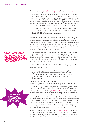For example, the [Royal Academy of Engineering](http://www.raeng.org.uk/) launched the London [Engineering Project](http://www.thelep.org.uk/home) (LEP) with the aim of improving cultural and gender diversity in engineering through partnerships with existing stakeholders. Through a comprehensive DRIVE process for assessing diversity measures in projects before their inclusion and providing diversity training, most LEP activities had a 'minimum 50% participation by girls' (WISE 2009). DRIVE's core diversity principles, embedded from the beginning of the design process is an effective way of using the gender lens in enhancement and enrichment activities and has been used by Tomorrow's Engineers and the British Science Association:

*'Our CREST Star scheme was at its developmental stage and the principles of the DRIVE process have remain embedded in the resources produced as part of the scheme.'*

#### **Adrian Fenton, British Science Association**

Employers who took part in an Ofsted survey (2011) felt that confidence was the key to progression to non-stereotypical routes for young women. They specify the need to extend practice in preparing for job interviews and in developing young women's presentational skills. Some of the ways employers saw the potential for expanding links to tackle occupational stereotypes were by providing work experience in a wider range of roles to extend choice and by promoting role models and case studies from the local area where young women had moved beyond stereotypical routes.

This report also notes that 'for better or worse' role models shape the views of young women's career choices. For example, actively showcasing highprofile women and former female students can be effective, but one-to-one meetings with professionals tended to have a greater impact on girls' career aspirations and could lead to further opportunities for sponsorship, such as a work experience or careers guidance.

However, although meeting people from business has a positive impact on girls' aspirations this approach has not been developed systematically in most of the schools visited:

*'In particular, the positive influence of role models was not planned sufficiently to improve girls' and young women's knowledge and understanding of the place of women in society, or used specifically to challenge gender stereotypes through careers education'*  **(Ofsted, 2011)**

#### Education and Employers' Taskforce (EETF)

EETF (2010) makes a series of detailed recommendations for establishing a national service to facilitate the engagement of businesses with schools. This includes a single national 'entry point' service for employers to provide them with advice and guidance for engaging with schools, and creating a brokerage service, which is now [Inspiring the Future.](http://www.inspiringthefuture.org/) This is a free service across England with volunteers from all sectors and professions going into state secondary schools and colleges to talk about their work.

Inspiring the Future told us that 'just over 3,800 women have signed up to the programme; over 750 of these women attended events in schools, talking to young men and women about their careers from July 2012–June 2013. Of these female volunteers, 295 work in IT/computing; 293 work in engineering; 116 work in other scientific sectors; 425 work in financial services, and 250 are in the legal profession or in legal services and 70 have specified they would like to discuss the use of maths in the workplace.'

EETF has launched a new campaign called [Inspiring Women.](https://www.gov.uk/government/news/inspiring-women-national-campaign-launches) Its Director, Nick Chambers, says the aim of this campaign 'is to bring about a culture change where girls, whatever school they attend, have the chance to meet women doing a wide range of jobs and gain first-hand insights into the world of work.'



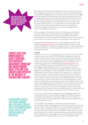'Please don't send me a 500 **RESOURCE PACK** something that fits in easily **ALREADY DOING** something that dovetails with the curriculum'

EETF argue that coordinated messaging and actions are necessary to ensure that young people at secondary and primary schools are given inspirational role models and engaging careers information to inform choices. EETF suggest that to encourage all businesses (especially small and medium sized ones), to engage with schools the Government should simplify 'red tape' to reduce the associated administrative and financial barriers to this. Furthermore, EETF encourages employers to treat working with schools as they would any other business activity – as crucial to their success. We support their recommendation that an award or quality mark for volunteering and community engagement to provide careers advice and engagement in schools and colleges be introduced.

EETF also suggest the creation of a portal for sharing resources between schools and employers, and training teachers to engage with employers. They also stress the importance of quality evaluation and that school accountability should not be limited to examination results but should include other economic and social outcomes for young people in the longer term.

We believe that Inspiring the Future and Inspiring Women, and their sister programme [Speakers for Schools,](http://www.speakers4schools.org/) have huge potential to support activity within the STEM sector, and that encouraging volunteers to talk more generally about their STEM skills will help highlight the breadth of opportunities that studying STEM brings.

#### STEMNET

STEMNET's vision is to 'increase young people's choices and chances in STEM' through a Government funded STEM Ambassador programme comprising 27,000 volunteers (40% of whom are female) from business and industry that give their time to inspire young people in STEM, managing an advisory network for secondary schools regarding delivery of enhancement and enrichment activities and coordinating the **[STEM Clubs Programme.](http://www.stemclubs.net/)** In 2013 the STEMNET Evaluation found that 90% of UK secondary schools had engaged a STEM Ambassador at least once a year, up from 82% in 2011. Contact with STEM Ambassadors is hugely beneficial, with increased engagement, knowledge and understanding about STEM and STEM careers being reported by the majority of teachers and students. It is clear that for teachers this impact is due to enhanced real world relevance of STEM and increased confidence and enthusiasm for teaching these subjects (Straw et al 2011). Between April 2013 and March 2014 STEM Ambassadors recorded 21,000 activities, of which nearly 6000 were workshops/challenges, 1200 supporting STEM Clubs and nearly 4000 careers talks. STEMNET records of all activity and engagement indicate that 60% of UK state-maintained secondary schools access STEM Ambassadors on three or more occasions each year. However, in 2011 only 41% of pupils had sustained interaction with STEM Ambassadors and the majority had seen an Ambassador give a talk, rather than interacted with them through an enhancement and enrichment activity.

Extracurricular STEM clubs are hugely effective at engaging students and are an opportunity for students to better engage with STEM Ambassadors and industry representatives. Evaluations suggest that more ongoing and sustained contact with STEM Ambassadors could lead to even greater impacts for pupils (Straw et al 2011).

Some STEMNET clubs target girls specifically, and most have good representation of girls: the evaluation found that 35% of questionnaires were returned by girls. Although STEMNET does not track partipation by gender, we feel this is likely to be representatives of the gender split in STEM Clubs. It is striking to note however that none of the STEMNET's formal objectives relate specifically to girls, or mention a gender-aware perspective. We would like to see this change, and are encouraged by the recent inclusion of female STEM Ambassadors in the 'Real Life Maths' resource on the STEMNET website.

Contact with STFM Ambassadors is **HUGELY BENEFI** with increased engagement, knowledge and understanding about STEM and STEM careers being repo by the majority of teachers and students

Evaluations suggest that more ongoing and sustained with STEM Ambassadors could lead to even greater impacts for pupils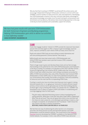We also feel that investing in STEMNET would benefit the whole sector, and encourage independent Employer Ambassador schemes to connect with local STEMNET contract holders to share resources, links and experience. Developing the STEM Ambassador scheme in this way could also take better advantage of specialised knowledge and enable more focused training for enhancement and enrichment activity delivery. We believe that streamlining expertise in this way is the key to more sustained, and sustainable, support for schools.

*'We have had great results with specialist STEM Ambassadors for both Tomorrow's Engineers and Big Bang programmes. Helping STEM Ambassadors gain skills to deliver our activities is most definitely needed'* **Sarah Devonport, Engineering UK**

# clubs

Clubs that engage students' interest in STEM outside the classroom have been proven time and time again to offer a chance to gain knowledge, practical skills, improve confidence, learn where STEM can lead, and to have fun.

*'Pupils who attend STEM Clubs are more willing to stretch themselves and ask more probing questions' (Science teacher, Case study 4).*

*'49% of pupils who have had contact with a STEM Ambassador and 61% of STEM Club members want a job that involves STEM, compared to 37% of all pupils'*

There is huge scope to grow and develop these clubs and we feel strongly that building on the potential for links with STEM Ambassadors and Employers is the key to scaling. For example, an evaluation of the 2007–09 After School Science & Engineering Club initiative (DCSF, 2008) notes that 'less than 10% of clubs had visited a business' and visiting a workplace accounted for 28% of STEM Club activities. Also, only 22% of teachers had involved STEM Ambassadors in their STEM Clubs. It's clear from published evaluations and our conversations that funding, the burden on teachers' time and availability of resources are the main barriers to expanding STEM Clubs.

Funding is a particular issue at primary level because most support is being directed towards the 11–14 age group. ScienceGrrl funded a Brixton-based primary school science club for girls because we feel that building identity at these ages is key to feeling that STEM is 'for people like me'. STEMNET has developed a set of videos to support STEM Club leaders in establishing and running engaging Clubs for their pupils.

*'The girls really understand that doing science is about investigating and asking questions. What does it look like? How does it feel? What's happening? Why? How do we know? They now all agree that science is fun and have had the chance to meet a physicist, a microbiologist specialising in malaria, a bat ecologist, an engineer, an astrophysicist and TV producer. 'I didn't know this was science!' has been a common exclamation.'* 

**Beth Rice, PEACH STEM Club for girls 6–10 years old**

We feel that one way of addressing the other barriers is to streamline activities into those proven to work and that both teachers and STEM Ambassadors could be trained to deliver. This could build on the Powerful [Practical](http://www.nationalstemcentre.org.uk/elibrary/resource/10147/powerful-practicals-toolkit) resource developed by STEMNET, available on the National STEM Centre website. For example, in 2011 only 20% of STEM Clubs delivered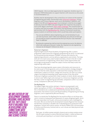CREST Awards – this is an ideal opportunity for expansion. Another way is to empower STEM Ambassadors to support teachers with resources as discussed in recommendation 4.2.

Another area for development is the current focus on science at the expense of engineering and maths. Partnerships with [Tomorrow's Engineers,](http://www.tomorrowsengineers.org.uk/) Young Engineers and Primary Engineer seem worth developing. In addition, with support from BIS and [EngineeringUK](http://www.engineeringuk.com/) local employers could be encouraged to directly fund with STEM clubs and integrate their expertise into projects, such as the Jaguar Land Rover [CREST maths challenge.](http://www.jaguarlandrover.com/gl/en/responsible-business/social-responsibility/advancing-knowledge/jaguar-maths-in-motion-challenge/) This could be done in a creative way that encourages information sharing between schools through partnerships with the [Big Bang Near Me.](http://nearme.thebigbangfair.co.uk/) Industry involvement would also expose students to technical routes, which would help widen participation.

*'You can see exhibitions about engineering, you can be told about it, you can look at pictures, watch videos and read books, but until you've had a go for yourself you haven't experienced the thrill of it! At first I was interested. Now I'm addicted'*

*'By doing [an engineering club] we took the engineering course, the diploma, which was really good, because it really, like, inspired us to do engineering because we all enjoyed it' (Straw et al, 2011)*

#### Tomorrow's Engineers

EngineeringUK and the Royal Academy of Engineering offer a careers programme called Tomorrow's Engineers (Engineering UK 2013). It is delivered by a broad partnership between STEMNET, business and industry, the engineering profession, activity delivery organisations and schools. The longterm aim is to reach every state-funded secondary school in the UK in order to raise awareness of engineering, inform about career opportunities and encourage young people to make the subject choices that keep routes into engineering careers open.

They have developed gender-aware careers information and resources to be used as part of the programme, and a communications strategy designed to ensure that the wider population understand that studying science and mathematics subjects at school, college and university can open up a whole range of exciting and rewarding career opportunities in the real world. Tomorrow's Engineers worked with 37,941 students of which 18,591 were girls in 2012/3 and '36% of girls who took part in a Tomorrow's Engineers activity felt that a career in engineering was desirable, compared to 23% in our all UK survey. Compared to 59% and 57% for boys'.

#### The Big Bang Fair

The largest single intervention aiming to 'improve young people's and adults' perceptions of STEM' is the [Big Bang Fair.](https://www.thebigbangfair.co.uk/) Led by EngineeringUK, this is intended to be a collaborative partnership between British Science Association, the Science Council, the Royal Academy of Engineering and Young Engineers, and is supported by BIS and industry.

There is no doubt that The Big Bang Fair has positive effects on all those who visit it, in terms of enjoyment and awareness of careers (EngineeringUK, 2012). This was especially true for girls, whose preconceptions were challenged by the event. We are excited by the development towards Regional Fairs because we feel they could play a valuable role in developing local connections with employers, schools and science centres. As Penny Fiddler (CEO, UK Association of Science and Discovery Centres) told us, such venues are ideal physical hubs for partnerships:

*'Each year, 10 million women and girls choose to go to science centres across the UK to get involved in science (192,000 each week). 1 million of these are school girls participating in curriculum-linked inspirational science*

WE ARE EXCITED BY THE development towards Regional Fairs because we feel they could play a valuable role 'nfvfinding i connections with ipi ayfrs, schi and science centres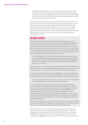*and engineering workshops. All science centres work hard to ensure their exhibitions and science programmes are equally appealing to girls as boys, and many have specific programmes to inspire more girls. Indeed over half of the scientists that visitors meet when they visit with families and schools are female, acting as role models every day.'*

We understand that the Big Bang UK Fair is important to unify the brand, but we worry that Universities and smaller employers are being priced out – and that this may become a barrier to engagement with Regional events. We would like to see an open debate on the UK Fair, in terms of cost, impact and inclusivity. It would also be interesting to explore partnerships with TeenTech, who collaborate with Universities, industry and Education Business Partnerships to run events that inspire and inform young people about opportunities in STEM.

## BIG BANG @ SCHOOL

As part of their drive to engage schools with STEM employers on a local level, Engineering UK have creatively expanded their Regional Big Bang Fairs into local events '@' schools through the development of a toolkit. Sarah Devonport who leads the initiative told us that 'a pilot scheme is currently in process and has already proved to be popular with both schools and colleges. It's helping break down some of the barriers to schools getting involved in the Fairs, such as geography and cost'. One of the schools that participated in the pilot is Redmoor Academy led by Head of STEM, Jo Cox:

*'Our first Big Bang @ School has been a great experience. We've developed good relationships with local organisations as well as neighbouring schools. We're passionate about STEM at Redmoor Academy and hosting a Big Bang has been an excellent way to enthuse our pupils about the possibilities that STEM opens up to them.'* 

Faisal Khan also ran a successful Big Bang @ The Market Bosworth High School. He also feels the event offers mutual benefits because 'companies receive firm – and marketable – links with the local community of potential employees.'

It's not just the toolkit that makes The Big Bang @ an exciting development, it's the opportunity for a wide range of stakeholders to collaborate and work towards a shared mission and the valuable support that this brings to schools:

*'We were able to tap into their expertise as well as their resources and contacts, which made life so much easier than starting from scratch.'* 

In total, the Big Bang @ Redmoor Academy was a collaboration between 11 local employers (including Campbell Scientific, Triumph Motors, Severn Trent, Bletchley park, Caterpillar, National Grid UK and Recognition Express Coventry) and 7 organisations from the STEM sector (STEMNET, Young Engineers, British Science Association, STEM ambassadors, IOP and Greenpower Education Trust) working together to support 12 local schools, including nurturing mentoring relationships between primary and secondary schools. Sarah Devonport joked that 'in the end, the Big Bang Near Me team probably did the least!'

We feel that building up the local STEM ecosystem within a national framework such as this would offer the flexibility to meet local needs, and could also help kick-start the strong relationships that really make things happen.

However, despite the hive of activity (including the grassroots initiatives mentioned in the 'home and personal networks' section) the sector is not integrated into the formal delivery of STEM education or well-coordinated amongst itself. We believe this is a wasted opportunity and invite further consideration regarding how to unify the STEM sector in Recommendation 10.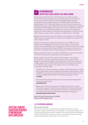#### **I RECOMMENDATION** Support project based, creative & real world learning 8.

8.1 We recommend that DfE review the decision to cut their funding of the CREST awards and argue for increased backing from other sources. The scheme is one that has been shown to engage students, provide employability skills, engage industry, is UCAS-accredited and achieves a gender balance. This is especially important in hard to reach schools where students have lower science capital. We recommend consideration of matched funding from STEM Employers to expand the scheme to enable more CREST partnerships with charities and employers that are in line with employer interests and needs. We also recommend that stakeholders consider how the CREST delivery model could be updated to something more sustainable.

8.2 We recommend that Tomorrow's Engineers work together with CREST and STEM employers representatives to develop and strengthen the engineering CREST project portfolio.

8.3 We recommend that collaboration between local STEMNET contract holders and The Big Bang Near Me scheme is formalised, including data sharing. This could capitalise upon the networks of both partners to encourage industry to channel activity through STEMNET, developing relationships at a local level, to facilitate delivery of the programmes we know are effective.

8.4 We recommend further investment in STEMNET and a review of activities in the next funding round to help deliver these programmes.

8.5 We imagine that in practice, these recommendations will require a joint mission to be drawn up between all owners. This should include a pledge to open data and progress meetings at BIS. The partners should also arrange opportunities for their teams to meet and share expertise, perhaps in a conference style setting. In the longer term, this could help drive a collaborative funding model.

*'STEMNET works with many partners to support STEM enhancement in schools. We are always keen to share knowledge and examples of good practice, which STEMNET sees during its work with all secondary schools in the UK, to ensure schools are supported and benefit in inspiring young people in STEM.'* **STEMNET**

*'We would welcome the opportunity to share our data and knowledge with Government and Partners'* **EngineeringUK**

*'We are keen to share our learning with collaborators. There is a need for Government support to enable the key providers of STEM enhancement and enrichment activities to share data that will help them make their provision for schools more timely, more tailored and ultimately, more effective.'* **British Science Association**

Owner: BIS, BSA, Engineering UK, STEMNET Partner: STEM Employers, DfE

### 3.5.2 The potential workplace

#### Work-related learning

Much of the literature is underpinned by a belief that effective careers education requires a partnership with employers. This has perhaps been most comprehensively demonstrated in research from the Education and Employers Task Force (EETF 2010), who show that the overwhelming majority of young people and employers would value a more active role.

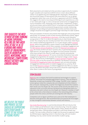this suggests the need to move beyond thinking of work experience as a one or two-week spell at age 14–16 to a broad and var series of engagements, such as workplace visits, mentoring, mock interviews, competitions, project activity and careers advice

WE BELIEVE THE PUBLIC and private sector **SHOULD BE SUPPORTING** each other when it comes to the future of young people

Work placements and related activities provide an opportunity for students to gain valuable work experience (UKCES 2012), to learn about different careers in an applied way and challenge gender stereotypes. Ofsted (2011) also found that impact of interventions was more effective in an on-going arrangement rather than a one-off activity. In agreement with EETF findings, this suggests the need to move beyond thinking of work experience as a one or two-week spell at age 14–16 to a broad and varied series of engagements, such as workplace visits, mentoring, mock interviews, competitions, project activity and careers advice (UKCES 2012). To facilitate work experience, Wolf (HM Government 2010) recommends the government consider reimbursing employers for providing work placement opportunities and that schools and colleges should be encouraged to prioritise longer internships for older students.

There are examples of industry led schemes that target girls and young women specifically. For example, as part of their business partnership scheme, Jaguar Land Rover runs ['Young Women in the Know',](http://www.jaguarlandrover.com/gl/en/responsible-business/social-responsibility/advancing-knowledge/young-women-in-the-know/) a five day course that gives young women in Year 11 or above the opportunity to meet female role models onsite. The company has also recently launched 'Girls in the Know'. Rolls Royce has a similar residential programme for 14-15 year old girls called 'Outward [Bound'.](http://www.rolls-royce.com/sustainability/casestudies/outward_bound_programme.jsp) Atkins have published a careers research study highlighting talented female engineers (Atkins, 2013). Other examples of employer engagement are the [BAE Systems Schools Roadshow](http://www.baesystemseducationprogramme.com/your-school/roadshow.php) and also the [National Grid Careers Lab](http://www.nationalgridconnecting.com/collaborating-on-careers/) [pilot](http://www.nationalgridconnecting.com/collaborating-on-careers/), the results of which are due in Summer 2014. A partnership between EADS Astrium, UK Space Agency, the Ogden Trust and Leicester University offers boys and girls the chance to meet space scientists and potential employers at [Space School](http://spaceschool.co.uk/S_Spaceschool/-about-us) UK. Of course, universities themselves have solid engagement programmes: for example, the Imperial College London '[Reach](http://www3.imperial.ac.uk/outreach/wohlreachoutlab)  [Out](http://www3.imperial.ac.uk/outreach/wohlreachoutlab) Lab'; the University of Nottingham's [Science Outreach Programme;](http://www.nottingham.ac.uk/sop/index.aspx) and [Discover STEM](http://www.sheffield.ac.uk/faculty/science/outreach/wp/discover-stem) run by the University of Sheffield. The Research Councils UK [Concordat for Engaging the Public with Research](http://www.publicengagement.ac.uk/why-does-it-matter/concordat) sets out some principles of engagement and also points to student engagement as a priority. RCUK also funded [Research Catalysts](http://www.rcuk.ac.uk/pe/catalysts/) to embed engagement into HEIs as a valued activity. We believe the public and private sector should be supporting each other when it comes to the future of young people.

# stem colleges

[Algenuity](http://www.algenuity.com/) are a company that build foundational technologies to support, catalyse, and propel the emerging algal biotech industry. They are based in Stewartby, located near Kimberley STEM college. The BTEC Level 3 applied science group visited the company labs and completed activities linked to the curriculum. Subsequently, a worker from Algenuity showed the students their results via a live Skype call. The success of this activity was down to its relevance to the curriculum and also having activity taking place both on a laboratory site and in school via a live Skype call. However, a member of staff at the school told us that reliance is totally on the networking skills of these people within the school, and their pre-existing links with industry.

Companies such as Jaguar Land Rover put a call out for their employees to become school governors. We recommend that such practice be encouraged to help strengthen relationships between schools and industry.

['See Inside Manufacturing'](http://discuss.bis.gov.uk/seeinsidemanufacturing/) is a partnership between BIS and industry that aims to 'shake up old fashioned views of manufacturing.' It has the support of companies like McLaren Group, BAE Systems, Airbus, Nestle UK and Ford among many others. GKN Aerospace provided us with three female case studies. The case studies offered an insight into the proactive approach taken by GKN Aerospace regarding women in manufacturing, with one student detailing a tour by a senior woman and another student saying: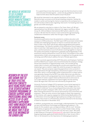# We would be interested to see a gender breakdown of See Inside Manufacturing's successes across all participating companies

Research by the EETF has shown that to **BE TRIIIY FFFFCTI** employer contacts with young people have to be situated within a coherent programme careers support where professional al access to up-to-d materials supplement first-hand insights into the working world. WE ARGUE THAT IT A has to be informed by the gender lens

*'It is a great thing to know that women can get into that line of work on merit and not be discriminated against… overall, the day grabbed my interest and made me think about what the options are for the future'*

We would be interested to see a gender breakdown of See Inside Manufacturing's successes across all participating companies. Seeing role models in action and having the chance to experience the workplace are in line with all the evidence base regarding 'what works' for breaking down both gender and STEM stereotypes.

We are pleased to note that in a letter to The Times, Peter Luff, MP and representatives from WS Atkins, National Grid, Jaguar Land Rover, Airbus Group UK, GKN and Babock International, BAE Systems called for unity of action. We feel that this mission is best achieved through developing collaborative frameworks rather than through a single institution.

#### Technical routes

Vocational qualifications have the potential to combine education with exposure to STEM professions. The Wolf report (HM Government 2010) makes sensible and challenging proposals to improve vocational education, but there is little in the report specifically addressing gendered participation and stereotypes. The industry members of the Automotive Council expect to take on more than 7,600 apprentices and 1,700 graduates over the next five years, and the Automotive Council UK (2013) is working together to improve the quality and quantity of apprentices, graduates and postgraduates in the automotive industry (Automotive Council UK 2013). The problem of the underrepresentation of girls and young women is recognised, but the gender lens is not being used effectively to address the lack of female apprentices.

In order to promote apprenticeships EETF (Education and Employers Taskforce and Price Waterhouse Coopers 2012) recommend that the employer strategy should raise awareness of apprenticeship routes. This includes giving careers talks in schools, and following this up with work experience or job shadowing to give a realistic insight into what the prospective apprentice can expect. They also propose supporting apprentices to be successful in their applications through transparency and practical support such as mock interviews, which is unsurprisingly similar to good practice in careers advice more generally. Research by the EETF has shown that to be truly effective, employer contacts with young people have to be situated within a coherent programme of careers support where professional advice and access to up-to-date materials supplement first-hand insights into the working world. We argue that it also has to be informed by the gender lens.

University Technical Colleges (UTCs) represent a more formal approach to embedding employer knowledge into learning. These colleges were first launched in 2009 and 'focus on providing technical education that meets the needs of modern employers' (DfE, 2012). UTCs are supported by the Baker Dearing Educational Trust and are sponsored by local universities and employers. There are some concerns that uptake is slower than expansion of the scheme, with capacity ranging from 30% (Central Bedfordshire UTC) to 76% (Aston University Engineering Academy) according to the Hansard records of the answer to a Parliamentary Question directed to the Secretary of State for Education in November 2013.

In addition, young women are, unsurprisingly, underrepresented. For example, we were told that Bristol Technology and Engineering Academy is '7% female for this academic year, and approximately 10% for next'. Similarly, JCB Academy recognises the need to drive up their female intake, aiming to increase it from 12% 'to around 25% over the next 5 years'. We spoke to Neil Patterson, Principal of [Silverstone UTC](http://www.utc-silverstone.co.uk/) who told us that next year's Engineering female applications were around 5% in Year 10 and 11% in Year 12. He stressed to us the importance of challenging perceptions: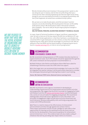

*'We discriminate without even knowing it. One young woman I spoke to, who was doing her year in industry, told me that one of the things that was a concern for her when choosing engineering was that she might not be strong enough to carry out some physical activities in an engineering workshop, and that if that happened, she would have considered herself a failure.*

*We use tools so to make the job easier, and if the tool doesn't work for everyone, we are discriminating. We should question the tool, not the ability of the person using it. We would jump to make a new tool for someone with a disability – but not to cater for the full range of physical strength in humankind.'*

**Neil Patterson, Principal Silverstone University Technical College**

Jo Lopes, Head of Technical Excellence at Jaguar Land Rover supported this view. He told us that one of the key reasons the 6th form at Warwick UTC was full, with 18% female applications, is that there had been a coordinated and concerted effort to get employees out into schools, to show the students what engineering was really about and the advantages of a technical route. We are pleased to hear that WISE and the Royal Academy of Engineering are due to launch a **[booklet advising UTCs](http://www.wisecampaign.org.uk/about-us/our-projects/utc-booklet)** on how to recruit young women.

#### **RECOMMENDATION** STEM RESOURCES: TECHNICAL ROUTES 9.

9.1 We recommend raising awareness of CPD modules that allow teachers to explore technical routes. Such CPD modules should be signposted through the DfE careers framework we have proposed in recommendation 11.

9.2 Both Professor John Perkins and Professor Alison Wolf have called for streamlining of technical routes into STEM, which we support.

9.3 In the longer term, we recommend that knowledge of all routes into STEM be integrated into teacher training. It will be particularly important to consider the stereotypes that prevent girls entering these routes in such training.

Owner: BIS, National STEM Centre, National Science Learning Centre



### RECOMMENDATION Unifying the STEM ecosystem

10.1 We recommend a more rigorous investment in developing an understanding of good practice for enhancement and enrichment activities and programmes. We suggest that the RCUK Concordat for Engaging the Public with Research and the UK [Science and Society Charter](https://scienceandsociety.blog.gov.uk/uk-charter-for-society/) could be developed into a series of core principles for engaging young people. We recommend seeking public and private sector signatories to such a document. Core principles of engagement might include that an activity should have real world relevance, develop employability skills and bring young people into contact with STEM professionals.

10.2 There is a need to measure the effectiveness of enhancement and enrichment activities through agreed and common metrics. These impact assessments should include a pledge for open data so that opportunities for learning can be maximised across the sector and can be fed into the development of best practice guidance for enhancement and enrichment (as in 10.1). This evidence base will also enable scaling of initiatives that work by providing clear impact metrics to investors.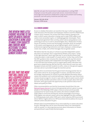10.3 We call upon the Government to take leadership in uniting STEM employers across the public and private sectors. Government should encourage and incentivise collaboration using its procurement and funding processes, and with policy incentives and kite marks.

Owners: DfE, BIS, RCUK Partners: STEM sector

### 3.5.3 Careers Guidance

Access to reliable information can transform the way in which young people make decisions (The Education and Employers Taskforce and Price Waterhouse Coopers 2012). However, this review finds little evidence relating to the ways in which careers education is being used to make STEM subjects and careers more accessible to girls, or challenging gender stereotypes. There is widespread agreement that currently careers advice and guidance is not achieving as much as it could or should (Hughes 2011, Ofsted 2011 & 2013, House of Commons Science and Technology Committee 2013). An example is the careers working group set up by EngineeringUK, which consists of professional engineering institutions and major employers collaborating to create clear, simple, and unified messages that are gender-aware.

We believe that the new duty on schools to provide independent careers education is ill-advised. This is supported by Ofsted's 2013 report, 'Going in the right direction?' which says that only 12 out of the 60 schools they visited provided a 'wide breadth' of careers advice. Further they confirm that 'the DfE's guidance does not prescribe clearly enough the way that schools should provide students with independent and impartial guidance'. There is not sufficient local infrastructure to support good careers education and good work-related learning. We feel that this move that will cause less wellequipped schools and their students to suffer, unless on-the-ground support and clear advice is provided through the transition period.

Hughes (2011) recommends that the government should guarantee face-toface careers advice for all young people in schools, and that there should be stronger requirements on schools to provide detailed information about careers and academic and vocational pathways. Hughes also says that primary schools should arrange for 10 and 11 year olds to attend careers events where parents, family members and others come in to talk to pupils about their jobs and work, and to give pupils the opportunity to ask questions about how to obtain and qualify for them.

Other recommendations are that the Government should direct the new [National Careers Service](https://nationalcareersservice.direct.gov.uk/Pages/Home.aspx) to ensure that appropriate advice is given to young people on the following: STEM subject choice at school and its possible consequences for future study and careers; the choices available within STEM subjects at HE level and beyond, and the advantages of pursuing a STEM degree; and relevant careers advice that highlights the jobs available to STEM graduates both within STEM and in other industries (HM Government 2012). Neither Hughes (2011) nor HM Government (2012) address the issue of relevant careers education for girls.

Ofsted's (2011) recommendations focus more explicitly on careers education for girls. Although they call for more information about non-stereotypical roles for women, it is worrying that provision about information on careers and parenthood is specifically directed at girls.



We feel that this move that will cause less well-equipped schools and their students to suffer, unless onthe-ground and clear advice is provided through the transition period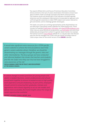Two reports (Ofsted 2011 and House of Commons Education Committee 2013) comment on the lack of careers destination information schools have about students, both to evaluate outcomes and inform school practices. This however would only benefit girls if the indicators included a gender dimension and the subsequent improvements incorporated an approach with sufficient gender-awareness to make STEM subjects and careers relevant to girls and women, and to challenge gender stereotypes.

This leads us to point out a striking representation of the disjointedness we are referring to: specialised careers websites for STEM already exist. These include, for example [GradCracker,](http://www.gradcracker.com/) [GoCracker,](http://www.gocracker.com/) and [whereSTEMcantakeyou.com.](http://www.wherestemcantakeyou.com/) Other sites are aimed directly at young women e.g. [EveCracker](http://www.evecracker.com/) and some have deliberately developed their content in a gender aware manner, for example the Science Council's [Future Morph](http://www.futuremorph.org/) website for 11–19 year olds. Over the last year the site has averaged over 5,500 visits per month including a total of 1,600 unique views for the online version of the **SCIENCEGRRL** calendar.

*'It would take significant extra resources for a STEM specific careers website to achieve the kind of audience reach that generic careers websites attract, therefore, we should be disseminating our messages through the generic sites and other intermediaries. The focus groups we have conducted and informal feedback has shown that teachers and students find the site useful once they use it but we have struggled to raise awareness of the site'* **Nicola Hannam, Director of Policy and Development at the Science Council**

*'A culture change in careers provision for young people and adults is needed. Business, careers professionals and schools should work together to ensure increased access to high quality work experience and job shadowing. As part of this, employers should commit to ensuring their graduates, trainees and apprentices visit schools regularly to act as role models and deliver more accessible, first-hand insights about the range of career opportunities available'*

**Women's Business Council Report, 2013**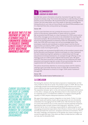#### **I RECOMMENDATION** Leadership on careers advice 11.

11.1 We feel careers information should be channeled through the routes people are already using. This involves developing an understanding of where teachers access information. We recommend that such websites (e.g. National Careers Service) make better use of the wealth of specialist knowledge by linking directly to such sites as Future Morph and whereSTEMcantakeyou.com. It is important that sites convey joined up messaging.

#### Owner: DfE

11.2 It is clear that there are not currently the resources in the STEM sector to fully devolve responsibility of careers advice to schools. We recommend that DfE leads on a clear framework for STEM careers advice that unifies messages across the sector to be embedded into teaching with real world examples. We recommend that these messages should centre around: the earning potential increased by STEM; the marketability of STEM skills; that STEM skills and careers are not just knowledge based, they encompass creativity and contribute to societal impact; and the diverse opportunities provided by STEM. Lastly, STEM is for everyone: technical and academic routes must be given parity.

11.3 In parallel, we recommend that BIS builds on the excellent research done by the Education and Employers Taskforce and leads on a clear framework for work-related learning that capitalises on relationships built through educational enrichment frameworks, for example through offering on-site training as part of a CREST project aligned with business aims. We agree with EETF that there should be a move away from the traditional two week placement and towards long-term, project driven partnerships that can be supplemented with Skype advice sessions with professionals.

This advice should draw attention to unconscious biases and the statistics relating to girls and wider diversity issues in STEM. We recommend this framework be delivered to schools as a single 'STEM careers framework' through DfE.

Owner: DfE Partners: BIS, Gender Science Taskforce (see 1.2)

# 3.6 Conclusion

Reviewing the solutions that have been proposed or implemented, we find many initiatives that aim to tackle 'the problem of girls in STEM'. We also find a seemingly parallel and predominantly gender-blind literature discussing how to improve the take up and delivery of STEM education and careers. The separation between 'girls' on the one hand and mainstream interventions on the other, is deeply worrying. We believe that it is this treatment of 'girls' as a separate issue is a fundamental roadblock to progress towards gender equality in STEM, despite widespread awareness and effort.

We argue that progress requires integration on two levels. Firstly, it is clear that the needs and realities of girls and young women are not consistently embedded into messaging from the STEM sector. We find that the majority of current interventions focus on the classroom and the potential workplace, ignoring the wider societal contexts that shape girls' identities. Current solutions fall far short of claiming a responsibility for addressing the social messaging and parental expectations that influence choices from an early age and that permeate the classroom, workplace and home environments. This is the major challenge, and awareness of the gender lens means looking at our society through both eyes. Only when we make invisible barriers visible can we truly start to dismantle them.

We believe that it is this treatment of 'girls' as a separate issue is a fundamental roadblock to progress towards gender equality in<br>Despite widespread awareness and effort

Current solutions fall **FAR SHORT OF CLAIM** a responsibili addressing the social messaging and parental expectations that influence choices from an fariy agf and permeate the classroom, workplace and home environments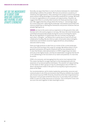We see the ingredients OF A GREAT TEAM who are currently not playing to each other's strengths

Secondly, we argue that there is a lack of cohesion between the stakeholders attempting to address this problem. We have encountered a cacophony of initiatives and organisations, often seeming to be trying to achieve everything alone without taking advantage of tremendous potential for synergy. We think it's time for organisations to re-evaluate such opportunities. However, we suggest that there is currently little incentive for these partnerships to take root. We suggest that they will go where the money is – and strongly argue for a move away from 'capturing the landscape' and towards Government and Industry leadership on backing the frameworks and proven initiatives that are already fighting for air.

SCIENCEGRRL are new to this sector and our experience on the ground is that, with the best will in the world, progress is not easy. We have met some fantastically committed and passionate people during the course of writing this report. We see the ingredients of a great team who are currently not playing to each other's strengths – we believe this is partly due to a lack of trust and collaborative funding. We also think an open conversation about strengths, weaknesses and mindsets would be hugely beneficial, and probably a welcome relief to many.

There are huge positives to take from our review of the current landscape. One of the most exciting is the scope for synergy. We believe there is much goodwill and passion driving the initiatives that we have detailed here. It is clear that female underrepresentation in STEM is beginning to be taken seriously at the highest levels, and that all stakeholders recognise that the UK is not capitalising on the full extent of our talent and potential. It's now time for action.

STEM is for everyone, and messaging from the sector must represent that. This means having the courage to go back to the drawing board with full awareness of our preconceptions and biases. The solution isn't about bolting on the needs of 'other' groups on top of a stereotypical view of STEM. It is about valuing those needs in the spirit of true equality to give everyone a place at the table.

Our recommendations call for better leadership, partnership, resources and communication in all of the environments that influence whether any student will choose to pursue STEM. Diversity should be at the heart of good practice. This issue is not just part of feminist discourse, it's not really even just about STEM; it is part of a wider discourse on inclusion. This is everyone's issue, and we must now work together to take meaningful action.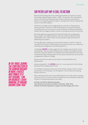# SIR PETER LUFF MP: A CALL TO ACTION

We have been talking about the underrepresentation of women in science, technology, engineering and maths – STEM – for decades. This authoritative report is a call to stop talking and start doing. It deserves to be acted on because it is written by genuine experts – young women who are making their careers in the STEM subjects.

STEM skills shortages are the single greatest constraint on the growth of many businesses. I saw this as Chair of the Business, Innovation and Skills Committee and I saw it even more vividly as Minister for Defence Equipment. Indeed, these shortages threaten not just our prosperity but also our security.

We need urgently to develop policies that will bring more young people, boys and girls, into STEM disciplines. And if we could increase the female participation rate in STEM careers we would make a huge contribution to addressing this problem.

'Through Both Eyes' explains just how bad the situation is when it comes to the proportion of girls in STEM subjects and careers and sets out a radical but intensely practical agenda to do something about it.

I challenged SCIENCEGRRL to make suggestions for change, some of which can be made quickly. They have asked young women scientists and engineers what they think, they have spoken to companies about their experience, they have reviewed the many existing reports on this issue, and they have come up with a programme of ideas for change.

Now we must work to make sure the report's recommendations are implemented.

And we are grateful – the **SCIENCEGRRL**s and me – to our sponsors for their willing backing of this valuable piece of work.

In the 1990s, during the construction of the Konkan railway in India, a notice was pinned to a hut reading, 'I am an Engineer; I serve mankind, by making dreams come true.'

That is what those who work in the STEM disciplines do. They make our dreams come true. And it is in all our interests that girls are at last allowed to play their full part in turning those dreams into reality.

#### Sir Peter Luff, MP for Mid Worcestershire

Chair, Business, Innovation and Skills Committee, 2005–2010 Minister for Defence Equipment, Support and Technology, 2010–2012

In the 1990s, during the construction of the Konkan railway in India, a notice was pinned to a hut reading, 'I am an Engineer; I serve mankind, by making dreams come th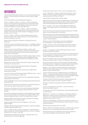# **REFERENCES**

Aspires (2013) *What shapes children's science and career aspirations age 10–13?* Interim Research Summary. London: King's College London

Atkins (2013) *Britain's got talented female engineers*

Archer, L., DeWitt, J., Osborne, J., Dillon, J., Willis, B. & Wong, B. (2012) *Science Aspirations and family habitus: How families shape children's engagement and identification with science.* American Educational Research Journal, 49(5), 881–908

Archer. L., DeWitt, J., Osborne, J., Dillon, J., Willis, B. & Wong, B. (2013) *Not Girly, not sexy, not glamorous: Primary school girls' and parents' constructions of science aspirations*. Pedagogy, Culture & Society, 21 (1), 171–194

Archer, L., Dewitt, J. & Willis, B. (2014) *Adolescent boys' science aspirations: Masculinity, capital and power.* Journal of Research in Science Teaching, 51 (1), 1–30

Athene Donald's Blog (2012) *What Am I Doing Here?* Occam's Typewriter

Automotive Council UK (2013) *Driving Success – A strategy for growth and sustainability in the UK Automotive Sector.* London: Automotive Council UK

Bailey, R. (2011) *Letting Children be Children – Review of the commercialisation and sexualisation of childhood, looking to assess how children are being pressured to grow up too quickly.* London: Department for Education

Bailey, R (2013) *Letting Children be Children: Progress Report – Report of Progress on the Recommendations of the Independent Review of the Commercialisation and Sexualisation of Childhood.* London: Department for Education

Blakemore & Centres (2005) *Characteristics of boys' and girls' toys.* Sex Roles, Vol. 53, Nos. 9/10

CaSE (2014, forthcoming) *CaSE Diversity Report.* Campaign for Science and Engineering (CaSE)

Carter & Silva (2010) *Mentoring: necessary but insufficient for advancement.* Catalyst

Council for Science and Technology (2013) STEM Education – *Text of a letter to the Prime Minister.* London: CST.

CREST Expansion Scheme (2009–2011) *An independent evaluation prepared for the CREST team*

DfCSF (2008) *After-school Science and Engineering Clubs Evaluation.* Sheffield: DfCSF

Department for Education (2012) *Boost for vocational education as 14 new business-backed schools open.* Press release

Education and Employers Task Force (2010) *Helping Young People Succeed: How employers can support careers education.* London: Deloitte

Education and Employers Taskforce and Price Waterhouse Coopers (2012) *Closing the Gap: How Employers Can Change the Way Young People See Apprenticeships.* London: Price Waterhouse Coopers

EngineeringUK (2012) *Executive summary of research evaluating The Big Bang Fair 2012.* EngineeringUK

EngineeringUK (2013) Tomorrow's Engineers – 2012/2013, EngineeringUK

Engineers Week polling data (2013) *Attitudes to engineering: Before and after engineering week 2013*

Fine, C., Jordan-Young, R., Kaiser, A. & Rippon, G. (2010) *Plasticity, plasticity, plasticity…and the rigid problem of sex.* Trends in Cognitive Sciences, Vol 17. Issue 11, 550–551

Girlguiding (2013) *What girls say about… equality for girls.* Girls Attitudes survey. London: Girlguiding

GradCracker (2013) Crackin' Times. Issue 01, September 2013

Grant, L, Baltitude, K. & Daly, A. (2010) *Girls into Physics: Action Research. A practical guide to developing and embedding good classroom practice.* Institute of Physics

Hansard (2013) 18 November, Column 750W

Higher Education Statistics Agency (HESA) Table 10: *Qualifications obtained by students on HE courses at HEIs in the UK by sex, subject area and level of qualification obtained 2008/09 to 2012/13*

Hill, C., Corbett, C. & St. Rose, A (2010) *Why So Few? Women in Science, Technology, Engineering, and Mathematics.* Washington: AAUW

HM Government (2011) *Review of Vocational Education: The Wolf Report.* London: Department for Education

HM Government (2012) *Government Response to the House of Lords Select Committee on Science and Technology Report: Higher Education in Science, Technology, Engineering and Mathematics (STEM) Subjects.* London: HM Government

HM Government (2013) Progress April 2013: *Wolf Report Recommendations.* London: Department for Education

Hodgen, J & Marks, R (2013) *The Employment Equation: Why our young people need more maths for today's jobs.* London: King's College

Holman, J. & Finegold, P. (2010) *STEM Careers Review.* London: Gatsby Charitable Foundation

House of Commons Education Committee (2013) *Careers guidance for young people: The impact of the new duty on schools. Volume 1.* London: The Stationary Office Limited

House of Commons Science and Technology Committee (2014) *Women in scientific careers.* London: The Stationary Office Limited

House of Commons Science and Technology Committee (2013) *Educating Tomorrow's Engineers: the impact of Government reforms on 14–19 education.* London: The Stationary Office Limited

Hughes, S. (2011) *Report to the Prime Minister and Deputy Prime Minister from the Advocate for Access to Education (The Hughes Report).* London: Cabinet Office

Institute of Physics (2012) *It's Different for Girls: The influence of schools – An exploration of data from the National Pupil Database looking at progression to A-level physics in 2011 from different types of school at Key Stage 4.* London: Institute of Physics

Institute of Physics (2013) *Closing Doors. Exploring gender and subject choice in schools.* London: Institute for Physics

Kennedy, H. (2005) *Eve was framed. Women and British Justice.* Vintage

Kumar, A., Randershon, N. & Kiwana, L. (2013) *The state of engineering.* Engineering UK

Let Toys Be Toys (2013) *Let Toys Be Toys. Survey and retailers report.*  Let Toys Be Toys

Michalska, K. J., Kinzler, K. D., & Decety, J. (2013) *Age-related sex differences in explicit measures of empathy do not predict brain responses across childhood and adolescence.* Developmental cognitive neuroscience, 3, 22-32

Murphy, P. & Whitelegg, E. (2006) *Girls in the Physics Classroom – a review of the research of the participation of girls in physics.* London: Institute of Physics

OECD (2010) *Learning for Jobs.* Paris: OECD

Ofsted – Office for Standards in Education, Children's Services and Skills (2011) *Girls' Career Aspirations.* Manchester: OFSTED

Ofsted (2013) *Going in the Right Direction? Careers guidance in schools from September 2012.* Manchester: OFSTED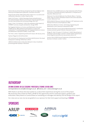Perkins Review (2013) *Review of engineering skills by Professor John Perkins for the Department of Business, Innovation and Skills*

Royal Society (2010) *'State of the nation' report on 5–14 science and mathematics education.* London: Royal Society

Seibt, B. & Förster, J. (2004) *Stereotype threat and performance: how self-stereotypes influence processing by inducing regulatory foci*. Journal of personality and social psychology, 87(1), 38

Straw, S. Hart, R. & Harland, J. (2011) *An evaluation of the impact of STEMNET's services on pupils and teachers.* Slough: NFER

The Targeted Initiative on Science and Mathematics Education (TISME) (2013) *'What influences participation in science and mathematics?' A briefing paper from the Targeted Initiative on Science and Mathematics Education* (TISME). London: ESRC

The Times, Letters *'Engineering and the UK's Future'*, 6th January 2014

TopGear Magazine (2013) December

UK Commission for Employment and Skills (UKCES) (2012) *The Youth Employment Challenge.* Rotherham: UKCES

UNESCO (2006) *Gender in Education Network in Asia. A toolkit for promoting gender equality in education*

Wellcome Trust, (2008) S*cience as a Key Component of the Primary Curriculum: A rationale with policy implications, in Perspectives in Education.* Wellcome Trust

Wellcome Trust (2013) *Wellcome Trust Monitor Wave 2. Tracking public views on science, biomedical research and science education.*  London: Wellcome Trust

WISE (2009) *UK Resource Centre for Women in SET Submission to the Panel for Fair Access to the Professions.* WISE

WISE (2012) *Women in Science, Technology, Engineering and Mathematics: from Classroom to Boardroom.* WISE

Women's Business Council (2013) *Maximising women's contribution to future economic growth.* Women's Business Council

Wraga, M., Helt, M. Jacobs, E. & Sullivan, K. (2007) *Neural basis of stereotype-induced shifts in women's mental rotation performance.* Social cognitive and affective neuroscience 2(1):12–9

YouGov (2011) *EDGE Annual Programme of Stakeholder Research: Business in Schools.* London: YouGov

# Authorship

### Dr Anna Zecharia Dr Ellie Cosgrave Professor Liz Thomas Dr Rob Jones

correspondence to anna@sciencegrrl.co.uk @Science\_Grrl www.sciencegrrl.co.uk

With thanks to all those who have spoken to us about their experiences during the course of this project. We would also like to thank Sir Peter Luff MP for this opportunity and his continued support, guidance and enthusiasm. Many thanks to Cosima Dinkel for translating our messages and identity into the design of this report.

Our views are our own, but we are grateful to our sponsors for their kind support and backing of SCIENCEGRRL.

# sponsors